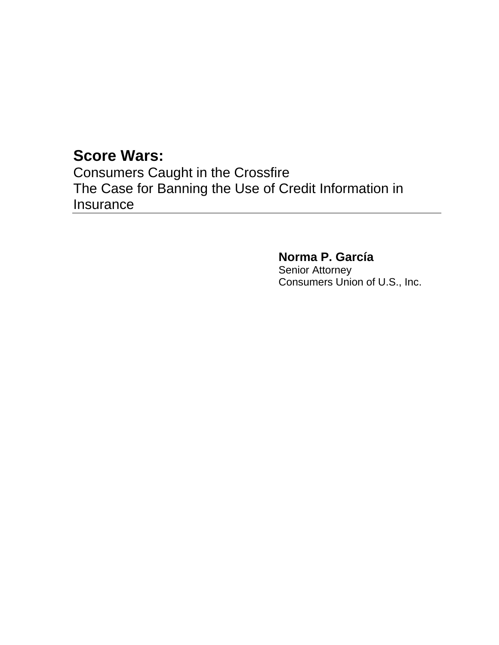## **Score Wars:**

Consumers Caught in the Crossfire The Case for Banning the Use of Credit Information in Insurance

> **Norma P. García**  Senior Attorney Consumers Union of U.S., Inc.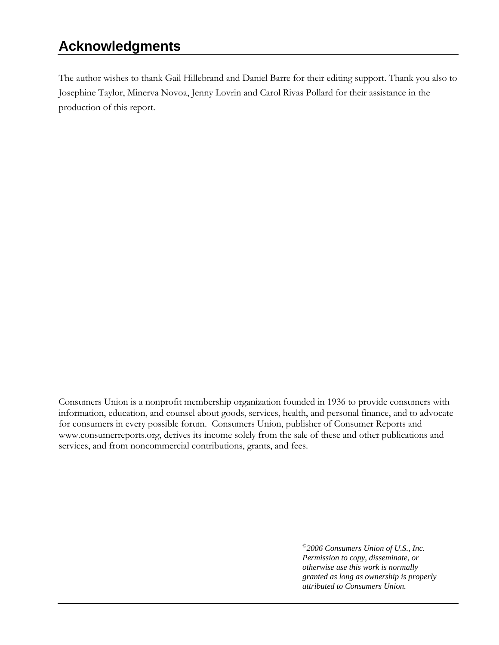## **Acknowledgments**

The author wishes to thank Gail Hillebrand and Daniel Barre for their editing support. Thank you also to Josephine Taylor, Minerva Novoa, Jenny Lovrin and Carol Rivas Pollard for their assistance in the production of this report.

Consumers Union is a nonprofit membership organization founded in 1936 to provide consumers with information, education, and counsel about goods, services, health, and personal finance, and to advocate for consumers in every possible forum. Consumers Union, publisher of Consumer Reports and [www.consumerreports.org,](http://www.consumerreports.org/) derives its income solely from the sale of these and other publications and services, and from noncommercial contributions, grants, and fees.

> *©2006 Consumers Union of U.S., Inc. Permission to copy, disseminate, or otherwise use this work is normally granted as long as ownership is properly attributed to Consumers Union.*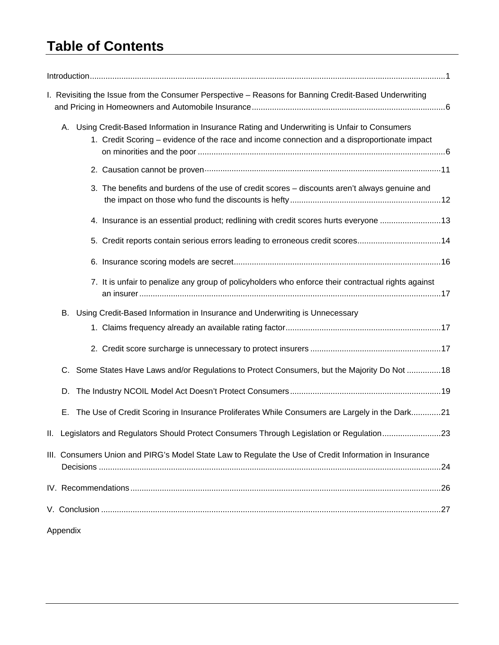## **Table of Contents**

| I. Revisiting the Issue from the Consumer Perspective - Reasons for Banning Credit-Based Underwriting                                                                                         |  |
|-----------------------------------------------------------------------------------------------------------------------------------------------------------------------------------------------|--|
| A. Using Credit-Based Information in Insurance Rating and Underwriting is Unfair to Consumers<br>1. Credit Scoring – evidence of the race and income connection and a disproportionate impact |  |
|                                                                                                                                                                                               |  |
| 3. The benefits and burdens of the use of credit scores - discounts aren't always genuine and                                                                                                 |  |
| 4. Insurance is an essential product; redlining with credit scores hurts everyone 13                                                                                                          |  |
| 5. Credit reports contain serious errors leading to erroneous credit scores14                                                                                                                 |  |
|                                                                                                                                                                                               |  |
| 7. It is unfair to penalize any group of policyholders who enforce their contractual rights against                                                                                           |  |
| Using Credit-Based Information in Insurance and Underwriting is Unnecessary<br>В.                                                                                                             |  |
|                                                                                                                                                                                               |  |
|                                                                                                                                                                                               |  |
| C. Some States Have Laws and/or Regulations to Protect Consumers, but the Majority Do Not 18                                                                                                  |  |
| D.                                                                                                                                                                                            |  |
| The Use of Credit Scoring in Insurance Proliferates While Consumers are Largely in the Dark21<br>Е.                                                                                           |  |
| II. Legislators and Regulators Should Protect Consumers Through Legislation or Regulation23                                                                                                   |  |
| III. Consumers Union and PIRG's Model State Law to Regulate the Use of Credit Information in Insurance                                                                                        |  |
|                                                                                                                                                                                               |  |
|                                                                                                                                                                                               |  |

Appendix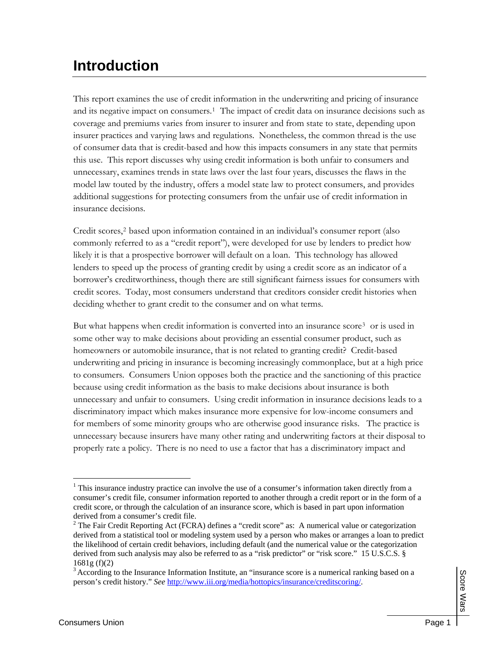# **Introduction**

This report examines the use of credit information in the underwriting and pricing of insurance and its negative impact on consumers[.1](#page-3-0) The impact of credit data on insurance decisions such as coverage and premiums varies from insurer to insurer and from state to state, depending upon insurer practices and varying laws and regulations. Nonetheless, the common thread is the use of consumer data that is credit-based and how this impacts consumers in any state that permits this use. This report discusses why using credit information is both unfair to consumers and unnecessary, examines trends in state laws over the last four years, discusses the flaws in the model law touted by the industry, offers a model state law to protect consumers, and provides additional suggestions for protecting consumers from the unfair use of credit information in insurance decisions.

Credit scores,[2](#page-3-1) based upon information contained in an individual's consumer report (also commonly referred to as a "credit report"), were developed for use by lenders to predict how likely it is that a prospective borrower will default on a loan. This technology has allowed lenders to speed up the process of granting credit by using a credit score as an indicator of a borrower's creditworthiness, though there are still significant fairness issues for consumers with credit scores. Today, most consumers understand that creditors consider credit histories when deciding whether to grant credit to the consumer and on what terms.

But what happens when credit information is converted into an insurance score[3](#page-3-2) or is used in some other way to make decisions about providing an essential consumer product, such as homeowners or automobile insurance, that is not related to granting credit? Credit-based underwriting and pricing in insurance is becoming increasingly commonplace, but at a high price to consumers. Consumers Union opposes both the practice and the sanctioning of this practice because using credit information as the basis to make decisions about insurance is both unnecessary and unfair to consumers. Using credit information in insurance decisions leads to a discriminatory impact which makes insurance more expensive for low-income consumers and for members of some minority groups who are otherwise good insurance risks. The practice is unnecessary because insurers have many other rating and underwriting factors at their disposal to properly rate a policy. There is no need to use a factor that has a discriminatory impact and

<span id="page-3-0"></span> $1$  This insurance industry practice can involve the use of a consumer's information taken directly from a consumer's credit file, consumer information reported to another through a credit report or in the form of a credit score, or through the calculation of an insurance score, which is based in part upon information derived from a consumer's credit file.

<span id="page-3-1"></span><sup>&</sup>lt;sup>2</sup> The Fair Credit Reporting Act (FCRA) defines a "credit score" as: A numerical value or categorization derived from a statistical tool or modeling system used by a person who makes or arranges a loan to predict the likelihood of certain credit behaviors, including default (and the numerical value or the categorization derived from such analysis may also be referred to as a "risk predictor" or "risk score." 15 U.S.C.S. § 1681g (f)(2)

<span id="page-3-2"></span><sup>&</sup>lt;sup>3</sup> According to the Insurance Information Institute, an "insurance score is a numerical ranking based on a person's credit history." *See* [http://www.iii.org/media/hottopics/insurance/creditscoring/.](http://www.iii.org/media/hottopics/insurance/creditscoring/)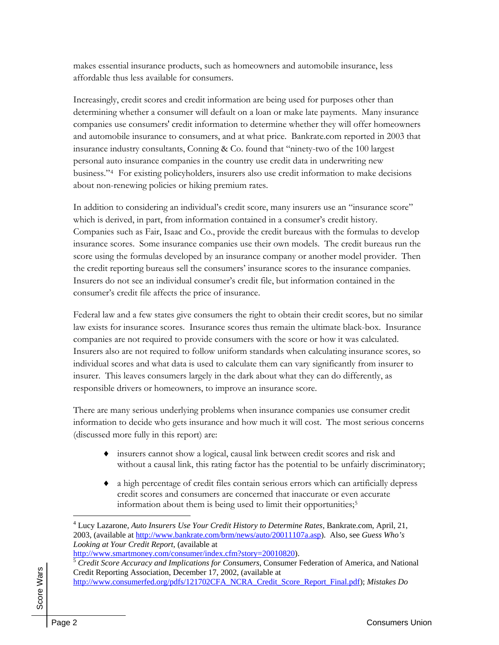makes essential insurance products, such as homeowners and automobile insurance, less affordable thus less available for consumers.

Increasingly, credit scores and credit information are being used for purposes other than determining whether a consumer will default on a loan or make late payments. Many insurance companies use consumers' credit information to determine whether they will offer homeowners and automobile insurance to consumers, and at what price. Bankrate.com reported in 2003 that insurance industry consultants, Conning & Co. found that "ninety-two of the 100 largest personal auto insurance companies in the country use credit data in underwriting new business."[4](#page-4-0) For existing policyholders, insurers also use credit information to make decisions about non-renewing policies or hiking premium rates.

In addition to considering an individual's credit score, many insurers use an "insurance score" which is derived, in part, from information contained in a consumer's credit history. Companies such as Fair, Isaac and Co., provide the credit bureaus with the formulas to develop insurance scores. Some insurance companies use their own models. The credit bureaus run the score using the formulas developed by an insurance company or another model provider. Then the credit reporting bureaus sell the consumers' insurance scores to the insurance companies. Insurers do not see an individual consumer's credit file, but information contained in the consumer's credit file affects the price of insurance.

Federal law and a few states give consumers the right to obtain their credit scores, but no similar law exists for insurance scores. Insurance scores thus remain the ultimate black-box. Insurance companies are not required to provide consumers with the score or how it was calculated. Insurers also are not required to follow uniform standards when calculating insurance scores, so individual scores and what data is used to calculate them can vary significantly from insurer to insurer. This leaves consumers largely in the dark about what they can do differently, as responsible drivers or homeowners, to improve an insurance score.

There are many serious underlying problems when insurance companies use consumer credit information to decide who gets insurance and how much it will cost. The most serious concerns (discussed more fully in this report) are:

- ♦ insurers cannot show a logical, causal link between credit scores and risk and without a causal link, this rating factor has the potential to be unfairly discriminatory;
- ♦ a high percentage of credit files contain serious errors which can artificially depress credit scores and consumers are concerned that inaccurate or even accurate information about them is being used to limit their opportunities[;5](#page-4-1)

<span id="page-4-0"></span><sup>4</sup> Lucy Lazarone, *Auto Insurers Use Your Credit History to Determine Rates*, Bankrate.com, April, 21, 2003, (available at <http://www.bankrate.com/brm/news/auto/20011107a.asp>). Also, see *Guess Who's Looking at Your Credit Report*, (available at

[http://www.smartmoney.com/consumer/index.cfm?story=20010820\)](http://www.smartmoney.com/consumer/index.cfm?story=20010820).

<span id="page-4-1"></span><sup>&</sup>lt;sup>5</sup> Credit Score Accuracy and Implications for Consumers, Consumer Federation of America, and National Credit Reporting Association, December 17, 2002, (available at [http://www.consumerfed.org/pdfs/121702CFA\\_NCRA\\_Credit\\_Score\\_Report\\_Final.pdf\)](http://www.consumerfed.org/pdfs/121702CFA_NCRA_Credit_Score_Report_Final.pdf); *Mistakes Do*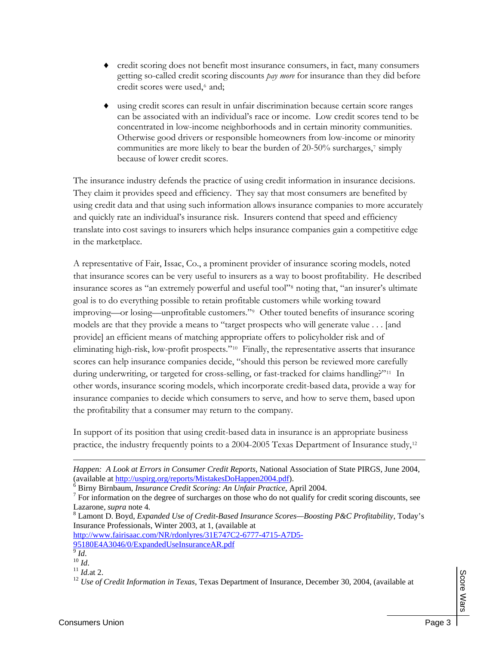- credit scoring does not benefit most insurance consumers, in fact, many consumers getting so-called credit scoring discounts *pay more* for insurance than they did before credit scores were used,<sup>[6](#page-5-0)</sup> and;
- ♦ using credit scores can result in unfair discrimination because certain score ranges can be associated with an individual's race or income. Low credit scores tend to be concentrated in low-income neighborhoods and in certain minority communities. Otherwise good drivers or responsible homeowners from low-income or minority communities are more likely to bear the burden of 20-50% surcharges,<sup>[7](#page-5-1)</sup> simply because of lower credit scores.

The insurance industry defends the practice of using credit information in insurance decisions. They claim it provides speed and efficiency. They say that most consumers are benefited by using credit data and that using such information allows insurance companies to more accurately and quickly rate an individual's insurance risk. Insurers contend that speed and efficiency translate into cost savings to insurers which helps insurance companies gain a competitive edge in the marketplace.

A representative of Fair, Issac, Co., a prominent provider of insurance scoring models, noted that insurance scores can be very useful to insurers as a way to boost profitability. He described insurance scores as "an extremely powerful and useful tool"[8](#page-5-2) noting that, "an insurer's ultimate goal is to do everything possible to retain profitable customers while working toward improving—or losing—unprofitable customers."[9](#page-5-3) Other touted benefits of insurance scoring models are that they provide a means to "target prospects who will generate value . . . [and provide] an efficient means of matching appropriate offers to policyholder risk and of eliminating high-risk, low-profit prospects."[10](#page-5-4) Finally, the representative asserts that insurance scores can help insurance companies decide, "should this person be reviewed more carefully during underwriting, or targeted for cross-selling, or fast-tracked for claims handling?"[11](#page-5-5) In other words, insurance scoring models, which incorporate credit-based data, provide a way for insurance companies to decide which consumers to serve, and how to serve them, based upon the profitability that a consumer may return to the company.

In support of its position that using credit-based data in insurance is an appropriate business practice, the industry frequently points to a 2004-2005 Texas Department of Insurance study,[12](#page-5-6)

[http://www.fairisaac.com/NR/rdonlyres/31E747C2-6777-4715-A7D5-](http://www.fairisaac.com/NR/rdonlyres/31E747C2-6777-4715-A7D5-95180E4A3046/0/ExpandedUseInsuranceAR.pdf) [95180E4A3046/0/ExpandedUseInsuranceAR.pdf](http://www.fairisaac.com/NR/rdonlyres/31E747C2-6777-4715-A7D5-95180E4A3046/0/ExpandedUseInsuranceAR.pdf)<br>
<sup>9</sup> Id.

 $\overline{a}$ 

<span id="page-5-6"></span><sup>12</sup> *Use of Credit Information in Texas*, Texas Department of Insurance, December 30, 2004, (available at

*Happen: A Look at Errors in Consumer Credit Reports*, National Association of State PIRGS, June 2004, (available at [http://uspirg.org/reports/MistakesDoHappen2004.pdf\)](http://uspirg.org/reports/MistakesDoHappen2004.pdf).

<span id="page-5-0"></span>Birny Birnbaum, *Insurance Credit Scoring: An Unfair Practice*, April 2004. 7

<span id="page-5-1"></span> $\frac{7}{1}$  For information on the degree of surcharges on those who do not qualify for credit scoring discounts, see Lazarone*, supra* note 4*.* <sup>8</sup>

<span id="page-5-2"></span>Lamont D. Boyd, *Expanded Use of Credit-Based Insurance Scores—Boosting P&C Profitability*, Today's Insurance Professionals, Winter 2003, at 1, (available at

<span id="page-5-5"></span><span id="page-5-4"></span><span id="page-5-3"></span><sup>&</sup>lt;sup>10</sup> *Id.* <sup>11</sup> *Id.* at 2.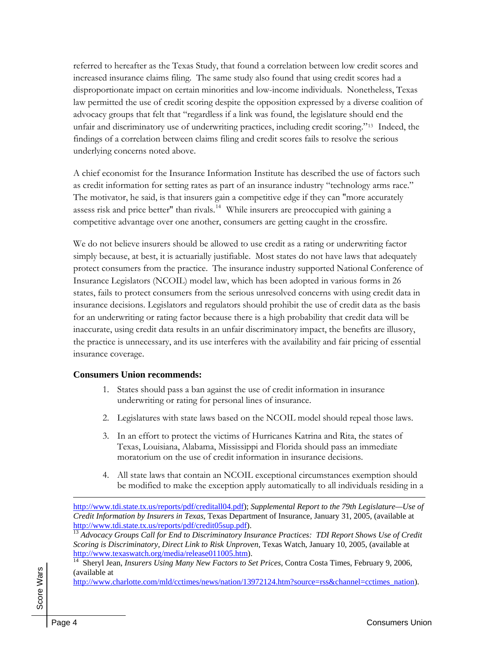referred to hereafter as the Texas Study, that found a correlation between low credit scores and increased insurance claims filing. The same study also found that using credit scores had a disproportionate impact on certain minorities and low-income individuals. Nonetheless, Texas law permitted the use of credit scoring despite the opposition expressed by a diverse coalition of advocacy groups that felt that "regardless if a link was found, the legislature should end the unfair and discriminatory use of underwriting practices, including credit scoring."[13](#page-6-0) Indeed, the findings of a correlation between claims filing and credit scores fails to resolve the serious underlying concerns noted above.

A chief economist for the Insurance Information Institute has described the use of factors such as credit information for setting rates as part of an insurance industry "technology arms race." The motivator, he said, is that insurers gain a competitive edge if they can "more accurately assess risk and price better" than rivals.<sup>[14](#page-6-1)</sup> While insurers are preoccupied with gaining a competitive advantage over one another, consumers are getting caught in the crossfire.

We do not believe insurers should be allowed to use credit as a rating or underwriting factor simply because, at best, it is actuarially justifiable. Most states do not have laws that adequately protect consumers from the practice. The insurance industry supported National Conference of Insurance Legislators (NCOIL) model law, which has been adopted in various forms in 26 states, fails to protect consumers from the serious unresolved concerns with using credit data in insurance decisions. Legislators and regulators should prohibit the use of credit data as the basis for an underwriting or rating factor because there is a high probability that credit data will be inaccurate, using credit data results in an unfair discriminatory impact, the benefits are illusory, the practice is unnecessary, and its use interferes with the availability and fair pricing of essential insurance coverage.

#### **Consumers Union recommends:**

- 1. States should pass a ban against the use of credit information in insurance underwriting or rating for personal lines of insurance.
- 2. Legislatures with state laws based on the NCOIL model should repeal those laws.
- 3. In an effort to protect the victims of Hurricanes Katrina and Rita, the states of Texas, Louisiana, Alabama, Mississippi and Florida should pass an immediate moratorium on the use of credit information in insurance decisions.
- 4. All state laws that contain an NCOIL exceptional circumstances exemption should be modified to make the exception apply automatically to all individuals residing in a

14 Sheryl Jean, *Insurers Using Many New Factors to Set Prices*, Contra Costa Times, February 9, 2006, (available at

[http://www.charlotte.com/mld/cctimes/news/nation/13972124.htm?source=rss&channel=cctimes\\_nation\)](http://www.charlotte.com/mld/cctimes/news/nation/13972124.htm?source=rss&channel=cctimes_nation).

<span id="page-6-1"></span><span id="page-6-0"></span> Score Wars Score Wars

<http://www.tdi.state.tx.us/reports/pdf/creditall04.pdf>); *Supplemental Report to the 79th Legislature—Use of Credit Information by Insurers in Texas*, Texas Department of Insurance, January 31, 2005, (available at <http://www.tdi.state.tx.us/reports/pdf/credit05sup.pdf>). [13](http://www.tdi.state.tx.us/reports/pdf/credit05sup.pdf) *Advocacy Groups Call for End to Discriminatory Insurance Practices: TDI Report Shows Use of Credit* 

*Scoring is Discriminatory, Direct Link to Risk Unproven*, Texas Watch, January 10, 2005, (available at <http://www.texaswatch.org/media/release011005.htm>).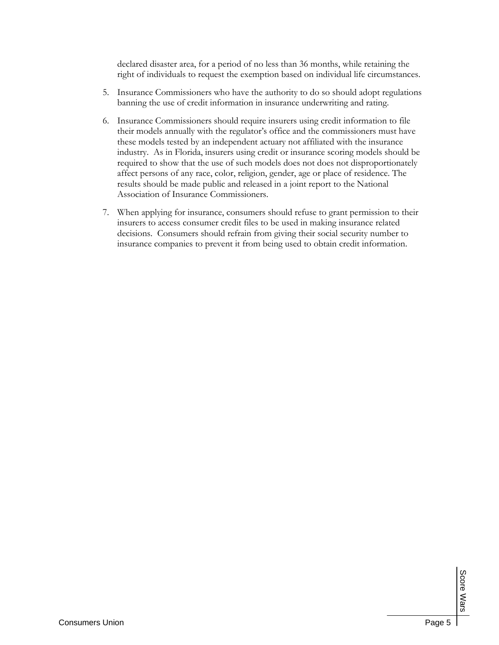declared disaster area, for a period of no less than 36 months, while retaining the right of individuals to request the exemption based on individual life circumstances.

- 5. Insurance Commissioners who have the authority to do so should adopt regulations banning the use of credit information in insurance underwriting and rating.
- 6. Insurance Commissioners should require insurers using credit information to file their models annually with the regulator's office and the commissioners must have these models tested by an independent actuary not affiliated with the insurance industry. As in Florida, insurers using credit or insurance scoring models should be required to show that the use of such models does not does not disproportionately affect persons of any race, color, religion, gender, age or place of residence. The results should be made public and released in a joint report to the National Association of Insurance Commissioners.
- 7. When applying for insurance, consumers should refuse to grant permission to their insurers to access consumer credit files to be used in making insurance related decisions. Consumers should refrain from giving their social security number to insurance companies to prevent it from being used to obtain credit information.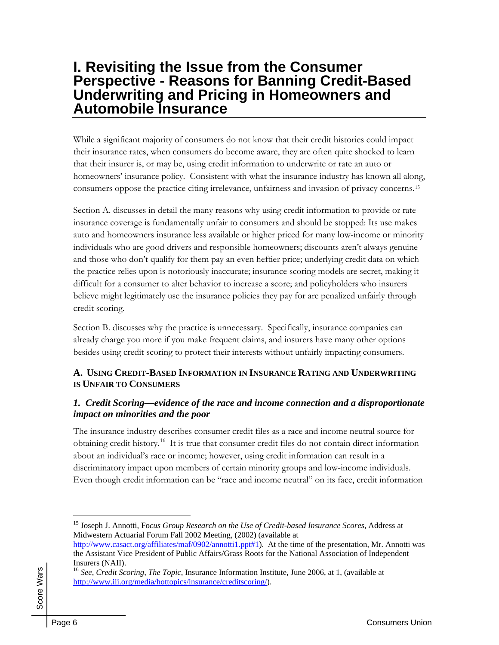## **I. Revisiting the Issue from the Consumer Perspective - Reasons for Banning Credit-Based Underwriting and Pricing in Homeowners and Automobile Insurance**

While a significant majority of consumers do not know that their credit histories could impact their insurance rates, when consumers do become aware, they are often quite shocked to learn that their insurer is, or may be, using credit information to underwrite or rate an auto or homeowners' insurance policy. Consistent with what the insurance industry has known all along, consumers oppose the practice citing irrelevance, unfairness and invasion of privacy concerns.[15](#page-8-0)

Section A. discusses in detail the many reasons why using credit information to provide or rate insurance coverage is fundamentally unfair to consumers and should be stopped: Its use makes auto and homeowners insurance less available or higher priced for many low-income or minority individuals who are good drivers and responsible homeowners; discounts aren't always genuine and those who don't qualify for them pay an even heftier price; underlying credit data on which the practice relies upon is notoriously inaccurate; insurance scoring models are secret, making it difficult for a consumer to alter behavior to increase a score; and policyholders who insurers believe might legitimately use the insurance policies they pay for are penalized unfairly through credit scoring.

Section B. discusses why the practice is unnecessary. Specifically, insurance companies can already charge you more if you make frequent claims, and insurers have many other options besides using credit scoring to protect their interests without unfairly impacting consumers.

#### **A. USING CREDIT-BASED INFORMATION IN INSURANCE RATING AND UNDERWRITING IS UNFAIR TO CONSUMERS**

#### *1. Credit Scoring—evidence of the race and income connection and a disproportionate impact on minorities and the poor*

The insurance industry describes consumer credit files as a race and income neutral source for obtaining credit history.<sup>[16](#page-8-1)</sup> It is true that consumer credit files do not contain direct information about an individual's race or income; however, using credit information can result in a discriminatory impact upon members of certain minority groups and low-income individuals. Even though credit information can be "race and income neutral" on its face, credit information

<span id="page-8-1"></span><span id="page-8-0"></span> Score Wars Score Wars

 $\overline{a}$ 15 Joseph J. Annotti, Fo*cus Group Research on the Use of Credit-based Insurance Scores*, Address at Midwestern Actuarial Forum Fall 2002 Meeting, (2002) (available at

<http://www.casact.org/affiliates/maf/0902/annotti1.ppt#1>). At the time of the presentation, Mr. Annotti was the Assistant Vice President of Public Affairs/Grass Roots for the National Association of Independent Insurers (NAII).

<sup>16</sup> *See*, *Credit Scoring, The Topic*, Insurance Information Institute, June 2006, at 1, (available at [http://www.iii.org/media/hottopics/insurance/creditscoring/\)](http://www.iii.org/media/hottopics/insurance/creditscoring/).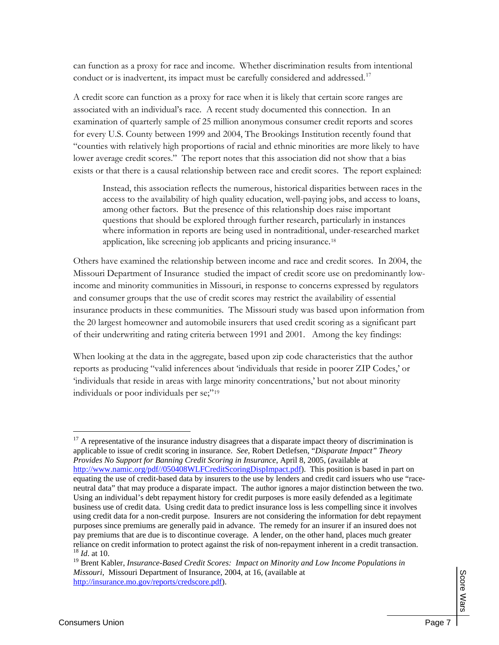can function as a proxy for race and income. Whether discrimination results from intentional conduct or is inadvertent, its impact must be carefully considered and addressed.<sup>[17](#page-9-0)</sup>

A credit score can function as a proxy for race when it is likely that certain score ranges are associated with an individual's race. A recent study documented this connection. In an examination of quarterly sample of 25 million anonymous consumer credit reports and scores for every U.S. County between 1999 and 2004, The Brookings Institution recently found that "counties with relatively high proportions of racial and ethnic minorities are more likely to have lower average credit scores." The report notes that this association did not show that a bias exists or that there is a causal relationship between race and credit scores. The report explained:

Instead, this association reflects the numerous, historical disparities between races in the access to the availability of high quality education, well-paying jobs, and access to loans, among other factors. But the presence of this relationship does raise important questions that should be explored through further research, particularly in instances where information in reports are being used in nontraditional, under-researched market application, like screening job applicants and pricing insurance.[18](#page-9-1)

Others have examined the relationship between income and race and credit scores. In 2004, the Missouri Department of Insurance studied the impact of credit score use on predominantly lowincome and minority communities in Missouri, in response to concerns expressed by regulators and consumer groups that the use of credit scores may restrict the availability of essential insurance products in these communities. The Missouri study was based upon information from the 20 largest homeowner and automobile insurers that used credit scoring as a significant part of their underwriting and rating criteria between 1991 and 2001. Among the key findings:

When looking at the data in the aggregate, based upon zip code characteristics that the author reports as producing "valid inferences about 'individuals that reside in poorer ZIP Codes,' or 'individuals that reside in areas with large minority concentrations,' but not about minority individuals or poor individuals per se;"<sup>[19](#page-9-2)</sup>

<span id="page-9-0"></span><sup>&</sup>lt;sup>17</sup> A representative of the insurance industry disagrees that a disparate impact theory of discrimination is applicable to issue of credit scoring in insurance. *See*, Robert Detlefsen, "*Disparate Impact" Theory Provides No Support for Banning Credit Scoring in Insurance*, April 8, 2005, (available at [http://www.namic.org/pdf//050408WLFCreditScoringDispImpact.pdf\)](http://www.namic.org/pdf/050408WLFCreditScoringDispImpact.pdf). This position is based in part on equating the use of credit-based data by insurers to the use by lenders and credit card issuers who use "raceneutral data" that may produce a disparate impact. The author ignores a major distinction between the two. Using an individual's debt repayment history for credit purposes is more easily defended as a legitimate business use of credit data. Using credit data to predict insurance loss is less compelling since it involves using credit data for a non-credit purpose. Insurers are not considering the information for debt repayment purposes since premiums are generally paid in advance. The remedy for an insurer if an insured does not pay premiums that are due is to discontinue coverage. A lender, on the other hand, places much greater reliance on credit information to protect against the risk of non-repayment inherent in a credit transaction. 18 *Id*. at 10.

<span id="page-9-2"></span><span id="page-9-1"></span><sup>19</sup> Brent Kabler, *Insurance-Based Credit Scores: Impact on Minority and Low Income Populations in Missouri*, Missouri Department of Insurance, 2004, at 16, (available at <http://insurance.mo.gov/reports/credscore.pdf>).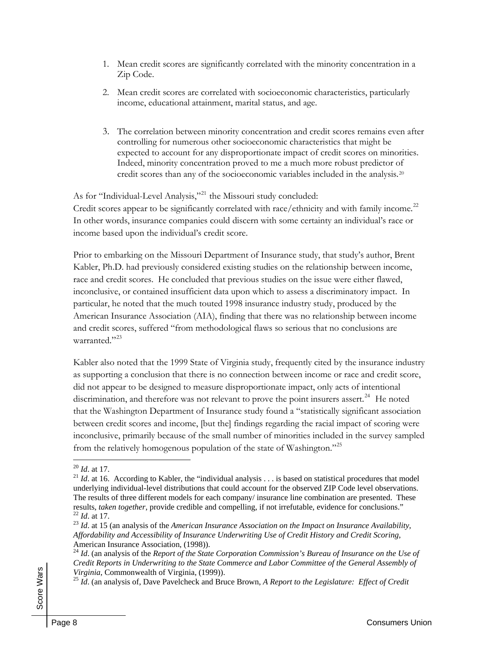- 1. Mean credit scores are significantly correlated with the minority concentration in a Zip Code.
- 2. Mean credit scores are correlated with socioeconomic characteristics, particularly income, educational attainment, marital status, and age.
- 3. The correlation between minority concentration and credit scores remains even after controlling for numerous other socioeconomic characteristics that might be expected to account for any disproportionate impact of credit scores on minorities. Indeed, minority concentration proved to me a much more robust predictor of credit scores than any of the socioeconomic variables included in the analysis.[20](#page-10-0)

As for "Individual-Level Analysis,"<sup>[21](#page-10-1)</sup> the Missouri study concluded:

Credit scores appear to be significantly correlated with race/ethnicity and with family income.<sup>[22](#page-10-2)</sup> In other words, insurance companies could discern with some certainty an individual's race or income based upon the individual's credit score.

Prior to embarking on the Missouri Department of Insurance study, that study's author, Brent Kabler, Ph.D. had previously considered existing studies on the relationship between income, race and credit scores. He concluded that previous studies on the issue were either flawed, inconclusive, or contained insufficient data upon which to assess a discriminatory impact. In particular, he noted that the much touted 1998 insurance industry study, produced by the American Insurance Association (AIA), finding that there was no relationship between income and credit scores, suffered "from methodological flaws so serious that no conclusions are warranted."<sup>[23](#page-10-3)</sup>

Kabler also noted that the 1999 State of Virginia study, frequently cited by the insurance industry as supporting a conclusion that there is no connection between income or race and credit score, did not appear to be designed to measure disproportionate impact, only acts of intentional discrimination, and therefore was not relevant to prove the point insurers assert.<sup>[24](#page-10-4)</sup> He noted that the Washington Department of Insurance study found a "statistically significant association between credit scores and income, [but the] findings regarding the racial impact of scoring were inconclusive, primarily because of the small number of minorities included in the survey sampled from the relatively homogenous population of the state of Washington."[25](#page-10-5)

<span id="page-10-0"></span> $20$  *Id.* at 17.

<span id="page-10-1"></span> $^{21}$  *Id.* at 16. According to Kabler, the "individual analysis . . . is based on statistical procedures that model underlying individual-level distributions that could account for the observed ZIP Code level observations. The results of three different models for each company/ insurance line combination are presented. These results, *taken together*, provide credible and compelling, if not irrefutable, evidence for conclusions."<br><sup>22</sup> *Id.* at 17.<br><sup>23</sup> *Id.* at 15 (an analysis of the *American Insurance Association on the Impact on Insurance* 

<span id="page-10-3"></span><span id="page-10-2"></span>*Affordability and Accessibility of Insurance Underwriting Use of Credit History and Credit Scoring*, American Insurance Association, (1998)).

<span id="page-10-4"></span><sup>&</sup>lt;sup>24</sup> *Id.* (an analysis of the *Report of the State Corporation Commission's Bureau of Insurance on the Use of Credit Reports in Underwriting to the State Commerce and Labor Committee of the General Assembly of* 

<span id="page-10-5"></span>*Virginia*, Commonwealth of Virginia, (1999)).<br><sup>25</sup> *Id.* (an analysis of, Dave Pavelcheck and Bruce Brown, *A Report to the Legislature: Effect of Credit*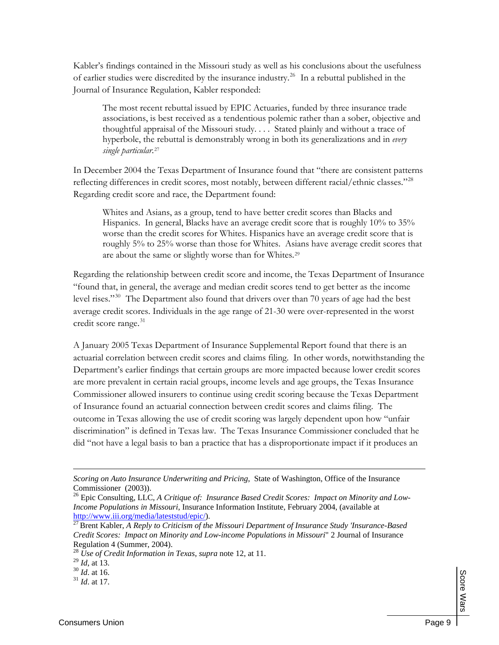Kabler's findings contained in the Missouri study as well as his conclusions about the usefulness of earlier studies were discredited by the insurance industry. [26](#page-11-0) In a rebuttal published in the Journal of Insurance Regulation, Kabler responded:

The most recent rebuttal issued by EPIC Actuaries, funded by three insurance trade associations, is best received as a tendentious polemic rather than a sober, objective and thoughtful appraisal of the Missouri study. . . . Stated plainly and without a trace of hyperbole, the rebuttal is demonstrably wrong in both its generalizations and in *every single particular*.[27](#page-11-1)

In December 2004 the Texas Department of Insurance found that "there are consistent patterns reflecting differences in credit scores, most notably, between different racial/ethnic classes."[28](#page-11-2) Regarding credit score and race, the Department found:

Whites and Asians, as a group, tend to have better credit scores than Blacks and Hispanics. In general, Blacks have an average credit score that is roughly 10% to 35% worse than the credit scores for Whites. Hispanics have an average credit score that is roughly 5% to 25% worse than those for Whites. Asians have average credit scores that are about the same or slightly worse than for Whites.[29](#page-11-3)

Regarding the relationship between credit score and income, the Texas Department of Insurance "found that, in general, the average and median credit scores tend to get better as the income level rises."<sup>[30](#page-11-4)</sup> The Department also found that drivers over than 70 years of age had the best average credit scores. Individuals in the age range of 21-30 were over-represented in the worst credit score range. [31](#page-11-5)

A January 2005 Texas Department of Insurance Supplemental Report found that there is an actuarial correlation between credit scores and claims filing. In other words, notwithstanding the Department's earlier findings that certain groups are more impacted because lower credit scores are more prevalent in certain racial groups, income levels and age groups, the Texas Insurance Commissioner allowed insurers to continue using credit scoring because the Texas Department of Insurance found an actuarial connection between credit scores and claims filing. The outcome in Texas allowing the use of credit scoring was largely dependent upon how "unfair discrimination" is defined in Texas law. The Texas Insurance Commissioner concluded that he did "not have a legal basis to ban a practice that has a disproportionate impact if it produces an

*Scoring on Auto Insurance Underwriting and Pricing*, State of Washington, Office of the Insurance Commissioner (2003)).

<span id="page-11-0"></span><sup>26</sup> Epic Consulting, LLC, *A Critique of: Insurance Based Credit Scores: Impact on Minority and Low-Income Populations in Missouri*, Insurance Information Institute, February 2004, (available at

<span id="page-11-1"></span><http://www.iii.org/media/lateststud/epic/>).<br><sup>[27](http://www.iii.org/media/lateststud/epic/)</sup> Brent Kabler, *A Reply to Criticism of the Missouri Department of Insurance Study 'Insurance-Based Credit Scores: Impact on Minority and Low-income Populations in Missouri*" 2 Journal of Insurance Regulation 4 (Summer, 2004).

<span id="page-11-2"></span><sup>28</sup> *Use of Credit Information in Texas*, *supra* note 12, at 11.

<span id="page-11-3"></span> $^{29}$  *Id*, at 13.<br><sup>30</sup> *Id*. at 16.

<span id="page-11-5"></span><span id="page-11-4"></span><sup>&</sup>lt;sup>31</sup> *Id.* at 17.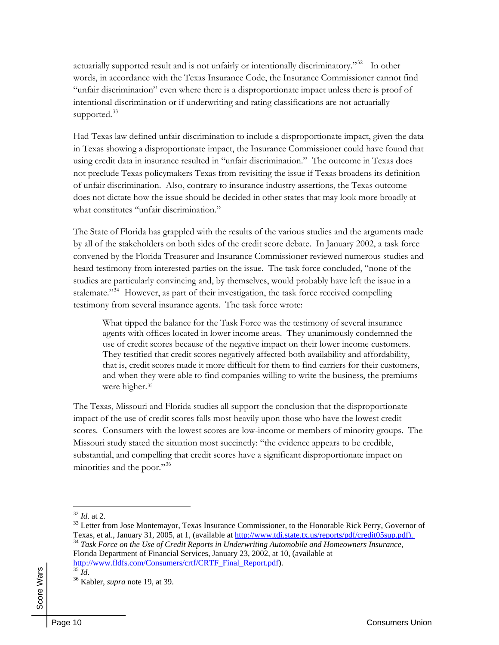actuarially supported result and is not unfairly or intentionally discriminatory."<sup>[32](#page-12-0)</sup> In other words, in accordance with the Texas Insurance Code, the Insurance Commissioner cannot find "unfair discrimination" even where there is a disproportionate impact unless there is proof of intentional discrimination or if underwriting and rating classifications are not actuarially supported.<sup>[33](#page-12-1)</sup>

Had Texas law defined unfair discrimination to include a disproportionate impact, given the data in Texas showing a disproportionate impact, the Insurance Commissioner could have found that using credit data in insurance resulted in "unfair discrimination." The outcome in Texas does not preclude Texas policymakers Texas from revisiting the issue if Texas broadens its definition of unfair discrimination. Also, contrary to insurance industry assertions, the Texas outcome does not dictate how the issue should be decided in other states that may look more broadly at what constitutes "unfair discrimination."

The State of Florida has grappled with the results of the various studies and the arguments made by all of the stakeholders on both sides of the credit score debate. In January 2002, a task force convened by the Florida Treasurer and Insurance Commissioner reviewed numerous studies and heard testimony from interested parties on the issue. The task force concluded, "none of the studies are particularly convincing and, by themselves, would probably have left the issue in a stalemate."<sup>[34](#page-12-2)</sup> However, as part of their investigation, the task force received compelling testimony from several insurance agents. The task force wrote:

What tipped the balance for the Task Force was the testimony of several insurance agents with offices located in lower income areas. They unanimously condemned the use of credit scores because of the negative impact on their lower income customers. They testified that credit scores negatively affected both availability and affordability, that is, credit scores made it more difficult for them to find carriers for their customers, and when they were able to find companies willing to write the business, the premiums were higher.<sup>[35](#page-12-3)</sup>

The Texas, Missouri and Florida studies all support the conclusion that the disproportionate impact of the use of credit scores falls most heavily upon those who have the lowest credit scores. Consumers with the lowest scores are low-income or members of minority groups. The Missouri study stated the situation most succinctly: "the evidence appears to be credible, substantial, and compelling that credit scores have a significant disproportionate impact on minorities and the poor."<sup>[36](#page-12-4)</sup>

<span id="page-12-4"></span><span id="page-12-3"></span>

<span id="page-12-0"></span> $32$  *Id.* at 2.

<span id="page-12-1"></span><sup>&</sup>lt;sup>33</sup> Letter from Jose Montemayor, Texas Insurance Commissioner, to the Honorable Rick Perry, Governor of Texas, et al., January 31, 2005, at 1, (available at [http://www.tdi.state.tx.us/reports/pdf/credit05sup.pdf\).](http://www.tdi.state.tx.us/reports/pdf/credit05sup.pdf).)  <sup>34</sup> *Task Force on the Use of Credit Reports in Underwriting Automobile and Homeowners Insurance*,

<span id="page-12-2"></span>Florida Department of Financial Services, January 23, 2002, at 10, (available at [http://www.fldfs.com/Consumers/crtf/CRTF\\_Final\\_Report.pdf\)](http://www.fldfs.com/Consumers/crtf/CRTF_Final_Report.pdf). [35](http://www.fldfs.com/Consumers/crtf/CRTF_Final_Report.pdf) *Id*. 36 Kabler, *supra* note 19, at 39.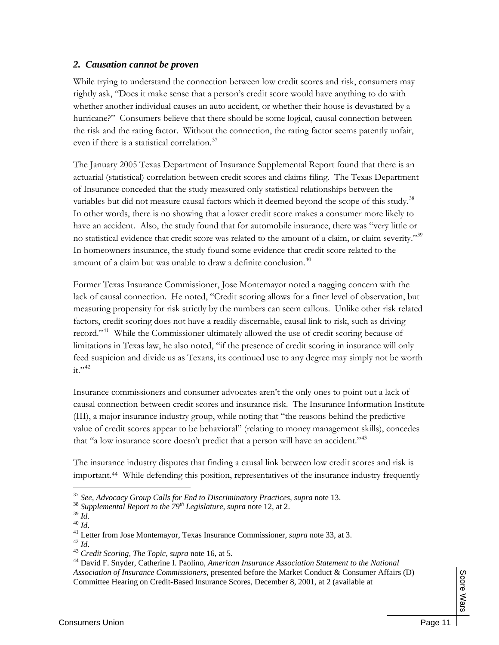#### *2. Causation cannot be proven*

While trying to understand the connection between low credit scores and risk, consumers may rightly ask, "Does it make sense that a person's credit score would have anything to do with whether another individual causes an auto accident, or whether their house is devastated by a hurricane?" Consumers believe that there should be some logical, causal connection between the risk and the rating factor. Without the connection, the rating factor seems patently unfair, even if there is a statistical correlation. [37](#page-13-0)

The January 2005 Texas Department of Insurance Supplemental Report found that there is an actuarial (statistical) correlation between credit scores and claims filing. The Texas Department of Insurance conceded that the study measured only statistical relationships between the variables but did not measure causal factors which it deemed beyond the scope of this study.<sup>[38](#page-13-1)</sup> In other words, there is no showing that a lower credit score makes a consumer more likely to have an accident. Also, the study found that for automobile insurance, there was "very little or no statistical evidence that credit score was related to the amount of a claim, or claim severity."[39](#page-13-2) In homeowners insurance, the study found some evidence that credit score related to the amount of a claim but was unable to draw a definite conclusion.<sup>[40](#page-13-3)</sup>

Former Texas Insurance Commissioner, Jose Montemayor noted a nagging concern with the lack of causal connection. He noted, "Credit scoring allows for a finer level of observation, but measuring propensity for risk strictly by the numbers can seem callous. Unlike other risk related factors, credit scoring does not have a readily discernable, causal link to risk, such as driving record."[41](#page-13-4) While the Commissioner ultimately allowed the use of credit scoring because of limitations in Texas law, he also noted, "if the presence of credit scoring in insurance will only feed suspicion and divide us as Texans, its continued use to any degree may simply not be worth  $it$ <sup>3,[42](#page-13-5)</sup>

Insurance commissioners and consumer advocates aren't the only ones to point out a lack of causal connection between credit scores and insurance risk. The Insurance Information Institute (III), a major insurance industry group, while noting that "the reasons behind the predictive value of credit scores appear to be behavioral" (relating to money management skills), concedes that "a low insurance score doesn't predict that a person will have an accident."<sup>[43](#page-13-6)</sup>

The insurance industry disputes that finding a causal link between low credit scores and risk is important.[44](#page-13-7) While defending this position, representatives of the insurance industry frequently

<span id="page-13-1"></span><span id="page-13-0"></span><sup>&</sup>lt;sup>37</sup> *See, Advocacy Group Calls for End to Discriminatory Practices, supra* note 13.<br><sup>38</sup> *Supplemental Report to the 79<sup>th</sup> Legislature, supra* note 12, at 2.<br><sup>39</sup> *Id.* 

<span id="page-13-4"></span><span id="page-13-3"></span><span id="page-13-2"></span><sup>&</sup>lt;sup>40</sup> *Id.*<br><sup>41</sup> Letter from Jose Montemayor, Texas Insurance Commissioner, *supra* note 33, at 3.<br><sup>42</sup> *Id.* 43 *Credit Scoring, The Topic, supra* note 16, at 5.

<span id="page-13-6"></span><span id="page-13-5"></span>

<span id="page-13-7"></span><sup>44</sup> David F. Snyder, Catherine I. Paolino, *American Insurance Association Statement to the National Association of Insurance Commissioners*, presented before the Market Conduct & Consumer Affairs (D) Committee Hearing on Credit-Based Insurance Scores, December 8, 2001, at 2 (available at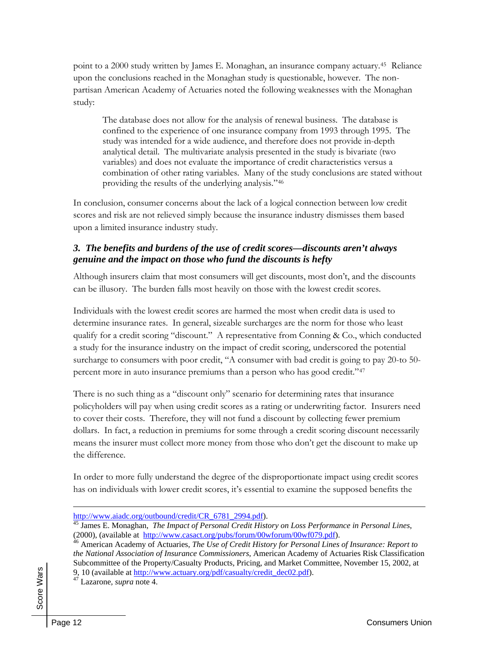point to a 2000 study written by James E. Monaghan, an insurance company actuary.[45](#page-14-0) Reliance upon the conclusions reached in the Monaghan study is questionable, however. The nonpartisan American Academy of Actuaries noted the following weaknesses with the Monaghan study:

The database does not allow for the analysis of renewal business. The database is confined to the experience of one insurance company from 1993 through 1995. The study was intended for a wide audience, and therefore does not provide in-depth analytical detail. The multivariate analysis presented in the study is bivariate (two variables) and does not evaluate the importance of credit characteristics versus a combination of other rating variables. Many of the study conclusions are stated without providing the results of the underlying analysis."[46](#page-14-1)

In conclusion, consumer concerns about the lack of a logical connection between low credit scores and risk are not relieved simply because the insurance industry dismisses them based upon a limited insurance industry study.

#### *3. The benefits and burdens of the use of credit scores—discounts aren't always genuine and the impact on those who fund the discounts is hefty*

Although insurers claim that most consumers will get discounts, most don't, and the discounts can be illusory. The burden falls most heavily on those with the lowest credit scores.

Individuals with the lowest credit scores are harmed the most when credit data is used to determine insurance rates. In general, sizeable surcharges are the norm for those who least qualify for a credit scoring "discount." A representative from Conning & Co., which conducted a study for the insurance industry on the impact of credit scoring, underscored the potential surcharge to consumers with poor credit, "A consumer with bad credit is going to pay 20-to 50 percent more in auto insurance premiums than a person who has good credit."[47](#page-14-2)

There is no such thing as a "discount only" scenario for determining rates that insurance policyholders will pay when using credit scores as a rating or underwriting factor. Insurers need to cover their costs. Therefore, they will not fund a discount by collecting fewer premium dollars. In fact, a reduction in premiums for some through a credit scoring discount necessarily means the insurer must collect more money from those who don't get the discount to make up the difference.

In order to more fully understand the degree of the disproportionate impact using credit scores has on individuals with lower credit scores, it's essential to examine the supposed benefits the

<span id="page-14-2"></span><span id="page-14-1"></span><span id="page-14-0"></span> Score Wars Score Wars

[http://www.aiadc.org/outbound/credit/CR\\_6781\\_2994.pdf\)](http://www.aiadc.org/outbound/credit/CR_6781_2994.pdf). [45](http://www.aiadc.org/outbound/credit/CR_6781_2994.pdf) James E. Monaghan, *The Impact of Personal Credit History on Loss Performance in Personal Lines*, (2000), (available at [http://www.casact.org/pubs/forum/00wforum/00wf079.pdf\)](http://www.casact.org/pubs/forum/00wforum/00wf079.pdf).

<sup>46</sup> American Academy of Actuaries, *The Use of Credit History for Personal Lines of Insurance: Report to the National Association of Insurance Commissioners*, American Academy of Actuaries Risk Classification Subcommittee of the Property/Casualty Products, Pricing, and Market Committee, November 15, 2002, at 9, 10 (available at [http://www.actuary.org/pdf/casualty/credit\\_dec02.pdf](http://www.actuary.org/pdf/casualty/credit_dec02.pdf)). 47 Lazarone*, supra* note 4.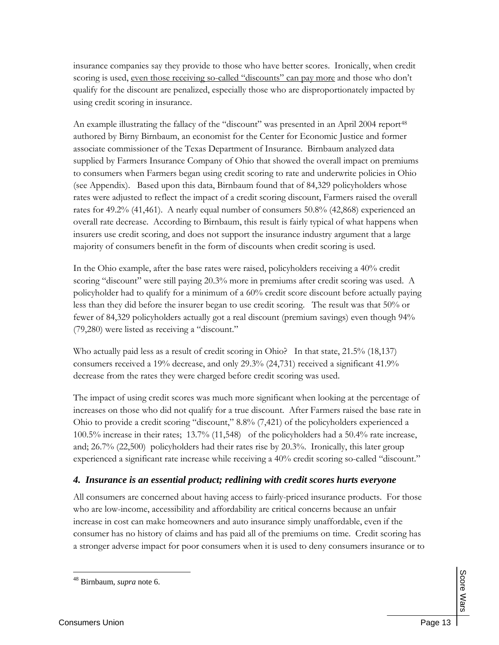insurance companies say they provide to those who have better scores. Ironically, when credit scoring is used, even those receiving so-called "discounts" can pay more and those who don't qualify for the discount are penalized, especially those who are disproportionately impacted by using credit scoring in insurance.

An example illustrating the fallacy of the "discount" was presented in an April 2004 report<sup>[48](#page-15-0)</sup> authored by Birny Birnbaum, an economist for the Center for Economic Justice and former associate commissioner of the Texas Department of Insurance. Birnbaum analyzed data supplied by Farmers Insurance Company of Ohio that showed the overall impact on premiums to consumers when Farmers began using credit scoring to rate and underwrite policies in Ohio (see Appendix). Based upon this data, Birnbaum found that of 84,329 policyholders whose rates were adjusted to reflect the impact of a credit scoring discount, Farmers raised the overall rates for 49.2% (41,461). A nearly equal number of consumers 50.8% (42,868) experienced an overall rate decrease. According to Birnbaum, this result is fairly typical of what happens when insurers use credit scoring, and does not support the insurance industry argument that a large majority of consumers benefit in the form of discounts when credit scoring is used.

In the Ohio example, after the base rates were raised, policyholders receiving a 40% credit scoring "discount" were still paying 20.3% more in premiums after credit scoring was used. A policyholder had to qualify for a minimum of a 60% credit score discount before actually paying less than they did before the insurer began to use credit scoring. The result was that 50% or fewer of 84,329 policyholders actually got a real discount (premium savings) even though 94% (79,280) were listed as receiving a "discount."

Who actually paid less as a result of credit scoring in Ohio? In that state, 21.5% (18,137) consumers received a 19% decrease, and only 29.3% (24,731) received a significant 41.9% decrease from the rates they were charged before credit scoring was used.

The impact of using credit scores was much more significant when looking at the percentage of increases on those who did not qualify for a true discount. After Farmers raised the base rate in Ohio to provide a credit scoring "discount," 8.8% (7,421) of the policyholders experienced a 100.5% increase in their rates; 13.7% (11,548) of the policyholders had a 50.4% rate increase, and; 26.7% (22,500) policyholders had their rates rise by 20.3%. Ironically, this later group experienced a significant rate increase while receiving a 40% credit scoring so-called "discount."

#### *4. Insurance is an essential product; redlining with credit scores hurts everyone*

<span id="page-15-0"></span>All consumers are concerned about having access to fairly-priced insurance products. For those who are low-income, accessibility and affordability are critical concerns because an unfair increase in cost can make homeowners and auto insurance simply unaffordable, even if the consumer has no history of claims and has paid all of the premiums on time. Credit scoring has a stronger adverse impact for poor consumers when it is used to deny consumers insurance or to

**Score Wars** Score Wars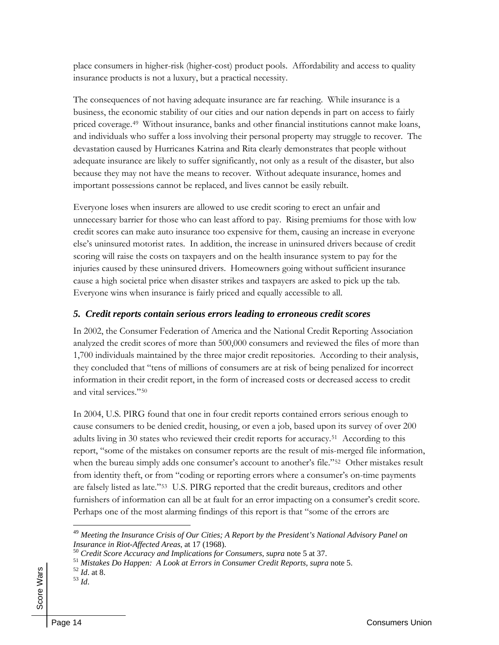place consumers in higher-risk (higher-cost) product pools. Affordability and access to quality insurance products is not a luxury, but a practical necessity.

The consequences of not having adequate insurance are far reaching. While insurance is a business, the economic stability of our cities and our nation depends in part on access to fairly priced coverage.[49](#page-16-0) Without insurance, banks and other financial institutions cannot make loans, and individuals who suffer a loss involving their personal property may struggle to recover. The devastation caused by Hurricanes Katrina and Rita clearly demonstrates that people without adequate insurance are likely to suffer significantly, not only as a result of the disaster, but also because they may not have the means to recover. Without adequate insurance, homes and important possessions cannot be replaced, and lives cannot be easily rebuilt.

Everyone loses when insurers are allowed to use credit scoring to erect an unfair and unnecessary barrier for those who can least afford to pay. Rising premiums for those with low credit scores can make auto insurance too expensive for them, causing an increase in everyone else's uninsured motorist rates. In addition, the increase in uninsured drivers because of credit scoring will raise the costs on taxpayers and on the health insurance system to pay for the injuries caused by these uninsured drivers. Homeowners going without sufficient insurance cause a high societal price when disaster strikes and taxpayers are asked to pick up the tab. Everyone wins when insurance is fairly priced and equally accessible to all.

#### *5. Credit reports contain serious errors leading to erroneous credit scores*

In 2002, the Consumer Federation of America and the National Credit Reporting Association analyzed the credit scores of more than 500,000 consumers and reviewed the files of more than 1,700 individuals maintained by the three major credit repositories. According to their analysis, they concluded that "tens of millions of consumers are at risk of being penalized for incorrect information in their credit report, in the form of increased costs or decreased access to credit and vital services<sup>"[50](#page-16-1)</sup>

In 2004, U.S. PIRG found that one in four credit reports contained errors serious enough to cause consumers to be denied credit, housing, or even a job, based upon its survey of over 200 adults living in 30 states who reviewed their credit reports for accuracy.[51](#page-16-2) According to this report, "some of the mistakes on consumer reports are the result of mis-merged file information, when the bureau simply adds one consumer's account to another's file."<sup>[52](#page-16-3)</sup> Other mistakes result from identity theft, or from "coding or reporting errors where a consumer's on-time payments are falsely listed as late."[53](#page-16-4) U.S. PIRG reported that the credit bureaus, creditors and other furnishers of information can all be at fault for an error impacting on a consumer's credit score. Perhaps one of the most alarming findings of this report is that "some of the errors are

<span id="page-16-4"></span><span id="page-16-3"></span>

<span id="page-16-0"></span><sup>&</sup>lt;sup>49</sup> Meeting the Insurance Crisis of Our Cities; A Report by the President's National Advisory Panel on Insurance in Riot-Affected Areas, at 17 (1968).

<sup>&</sup>lt;sup>50</sup> Credit Score Accuracy and Implications for Consumers, supra note 5 at 37.

<span id="page-16-2"></span><span id="page-16-1"></span><sup>&</sup>lt;sup>51</sup> *Mistakes Do Happen: A Look at Errors in Consumer Credit Reports, supra* note 5.<br><sup>52</sup> *Id.* at 8.<br><sup>53</sup> *Id.*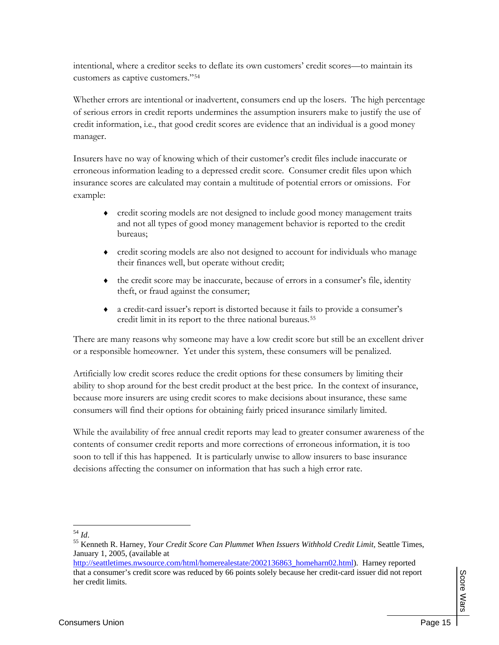intentional, where a creditor seeks to deflate its own customers' credit scores—to maintain its customers as captive customers."[54](#page-17-0)

Whether errors are intentional or inadvertent, consumers end up the losers. The high percentage of serious errors in credit reports undermines the assumption insurers make to justify the use of credit information, i.e., that good credit scores are evidence that an individual is a good money manager.

Insurers have no way of knowing which of their customer's credit files include inaccurate or erroneous information leading to a depressed credit score. Consumer credit files upon which insurance scores are calculated may contain a multitude of potential errors or omissions. For example:

- credit scoring models are not designed to include good money management traits and not all types of good money management behavior is reported to the credit bureaus;
- ♦ credit scoring models are also not designed to account for individuals who manage their finances well, but operate without credit;
- $\bullet$  the credit score may be inaccurate, because of errors in a consumer's file, identity theft, or fraud against the consumer;
- a credit-card issuer's report is distorted because it fails to provide a consumer's credit limit in its report to the three national bureaus[.55](#page-17-1)

There are many reasons why someone may have a low credit score but still be an excellent driver or a responsible homeowner. Yet under this system, these consumers will be penalized.

Artificially low credit scores reduce the credit options for these consumers by limiting their ability to shop around for the best credit product at the best price. In the context of insurance, because more insurers are using credit scores to make decisions about insurance, these same consumers will find their options for obtaining fairly priced insurance similarly limited.

While the availability of free annual credit reports may lead to greater consumer awareness of the contents of consumer credit reports and more corrections of erroneous information, it is too soon to tell if this has happened. It is particularly unwise to allow insurers to base insurance decisions affecting the consumer on information that has such a high error rate.

 $\overline{a}$ <sup>54</sup> *Id*.

<span id="page-17-1"></span><span id="page-17-0"></span><sup>&</sup>lt;sup>55</sup> Kenneth R. Harney, *Your Credit Score Can Plummet When Issuers Withhold Credit Limit*, Seattle Times, January 1, 2005, (available at

[http://seattletimes.nwsource.com/html/homerealestate/2002136863\\_homeharn02.html\)](http://seattletimes.nwsource.com/html/homerealestate/2002136863_homeharn02.html). Harney reported that a consumer's credit score was reduced by 66 points solely because her credit-card issuer did not report her credit limits.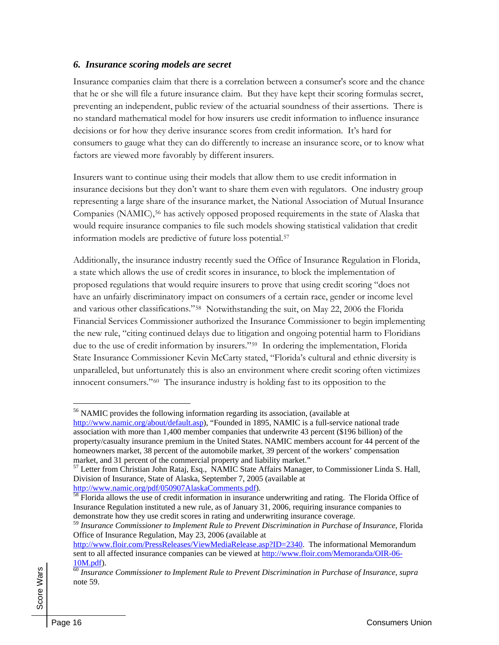#### *6. Insurance scoring models are secret*

Insurance companies claim that there is a correlation between a consumer's score and the chance that he or she will file a future insurance claim. But they have kept their scoring formulas secret, preventing an independent, public review of the actuarial soundness of their assertions. There is no standard mathematical model for how insurers use credit information to influence insurance decisions or for how they derive insurance scores from credit information. It's hard for consumers to gauge what they can do differently to increase an insurance score, or to know what factors are viewed more favorably by different insurers.

Insurers want to continue using their models that allow them to use credit information in insurance decisions but they don't want to share them even with regulators. One industry group representing a large share of the insurance market, the National Association of Mutual Insurance Companies (NAMIC),<sup>[56](#page-18-0)</sup> has actively opposed proposed requirements in the state of Alaska that would require insurance companies to file such models showing statistical validation that credit information models are predictive of future loss potential.[57](#page-18-1)

Additionally, the insurance industry recently sued the Office of Insurance Regulation in Florida, a state which allows the use of credit scores in insurance, to block the implementation of proposed regulations that would require insurers to prove that using credit scoring "does not have an unfairly discriminatory impact on consumers of a certain race, gender or income level and various other classifications."[58](#page-18-2) Notwithstanding the suit, on May 22, 2006 the Florida Financial Services Commissioner authorized the Insurance Commissioner to begin implementing the new rule, "citing continued delays due to litigation and ongoing potential harm to Floridians due to the use of credit information by insurers."[59](#page-18-3) In ordering the implementation, Florida State Insurance Commissioner Kevin McCarty stated, "Florida's cultural and ethnic diversity is unparalleled, but unfortunately this is also an environment where credit scoring often victimizes innocent consumers."[60](#page-18-4) The insurance industry is holding fast to its opposition to the

<span id="page-18-0"></span><sup>56</sup> NAMIC provides the following information regarding its association, (available at [http://www.namic.org/about/default.asp\)](http://www.namic.org/about/default.asp), "Founded in 1895, NAMIC is a full-service national trade association with more than 1,400 member companies that underwrite 43 percent (\$196 billion) of the property/casualty insurance premium in the United States. NAMIC members account for 44 percent of the homeowners market, 38 percent of the automobile market, 39 percent of the workers' compensation market, and 31 percent of the commercial property and liability market."

<span id="page-18-1"></span><sup>&</sup>lt;sup>57</sup> Letter from Christian John Rataj, Esq., NAMIC State Affairs Manager, to Commissioner Linda S. Hall, Division of Insurance, State of Alaska, September 7, 2005 (available at

<span id="page-18-2"></span><http://www.namic.org/pdf/050907AlaskaComments.pdf>).<br><sup>[58](http://www.namic.org/pdf/050907AlaskaComments.pdf)</sup> Florida allows the use of credit information in insurance underwriting and rating. The Florida Office of Insurance Regulation instituted a new rule, as of January 31, 2006, requiring insurance companies to demonstrate how they use credit scores in rating and underwriting insurance coverage.

<span id="page-18-3"></span><sup>59</sup> *Insurance Commissioner to Implement Rule to Prevent Discrimination in Purchase of Insurance*, Florida Office of Insurance Regulation, May 23, 2006 (available at

<http://www.floir.com/PressReleases/ViewMediaRelease.asp?ID=2340>. The informational Memorandum sent to all affected insurance companies can be viewed at [http://www.floir.com/Memoranda/OIR-06-](http://www.floir.com/Memoranda/OIR-06-10M.pdf)

<span id="page-18-4"></span>[<sup>10</sup>M.pdf\)](http://www.floir.com/Memoranda/OIR-06-10M.pdf). [60](http://www.floir.com/Memoranda/OIR-06-10M.pdf) *Insurance Commissioner to Implement Rule to Prevent Discrimination in Purchase of Insurance*, *supra* note 59.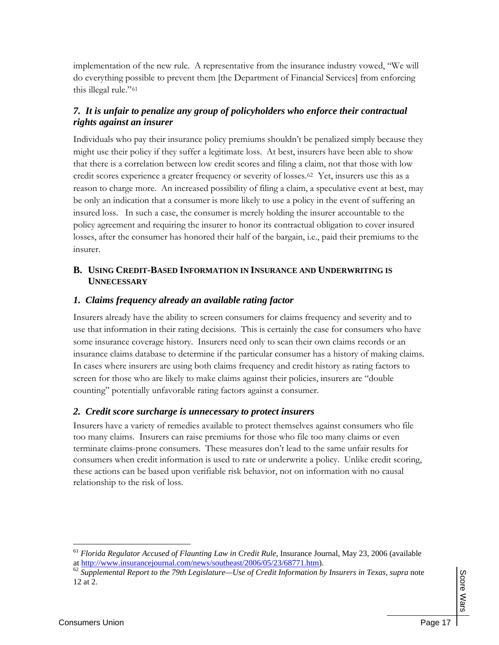implementation of the new rule. A representative from the insurance industry vowed, "We will do everything possible to prevent them [the Department of Financial Services] from enforcing this illegal rule."[61](#page-19-0)

#### *7. It is unfair to penalize any group of policyholders who enforce their contractual rights against an insurer*

Individuals who pay their insurance policy premiums shouldn't be penalized simply because they might use their policy if they suffer a legitimate loss. At best, insurers have been able to show that there is a correlation between low credit scores and filing a claim, not that those with low credit scores experience a greater frequency or severity of losses.[62](#page-19-1) Yet, insurers use this as a reason to charge more. An increased possibility of filing a claim, a speculative event at best, may be only an indication that a consumer is more likely to use a policy in the event of suffering an insured loss. In such a case, the consumer is merely holding the insurer accountable to the policy agreement and requiring the insurer to honor its contractual obligation to cover insured losses, after the consumer has honored their half of the bargain, i.e., paid their premiums to the insurer.

#### **B. USING CREDIT-BASED INFORMATION IN INSURANCE AND UNDERWRITING IS UNNECESSARY**

#### *1. Claims frequency already an available rating factor*

Insurers already have the ability to screen consumers for claims frequency and severity and to use that information in their rating decisions. This is certainly the case for consumers who have some insurance coverage history. Insurers need only to scan their own claims records or an insurance claims database to determine if the particular consumer has a history of making claims. In cases where insurers are using both claims frequency and credit history as rating factors to screen for those who are likely to make claims against their policies, insurers are "double counting" potentially unfavorable rating factors against a consumer.

#### *2. Credit score surcharge is unnecessary to protect insurers*

Insurers have a variety of remedies available to protect themselves against consumers who file too many claims. Insurers can raise premiums for those who file too many claims or even terminate claims-prone consumers. These measures don't lead to the same unfair results for consumers when credit information is used to rate or underwrite a policy. Unlike credit scoring, these actions can be based upon verifiable risk behavior, not on information with no causal relationship to the risk of loss.

<span id="page-19-0"></span><sup>&</sup>lt;sup>61</sup> *Florida Regulator Accused of Flaunting Law in Credit Rule*, Insurance Journal, May 23, 2006 (available at http://www.insurancejournal.com/news/southeast/2006/05/23/68771.htm).

<span id="page-19-1"></span><sup>&</sup>lt;sup>62</sup> Supplemental Report to the 79th Legislature—Use of Credit Information by Insurers in Texas, supra note 12 at 2.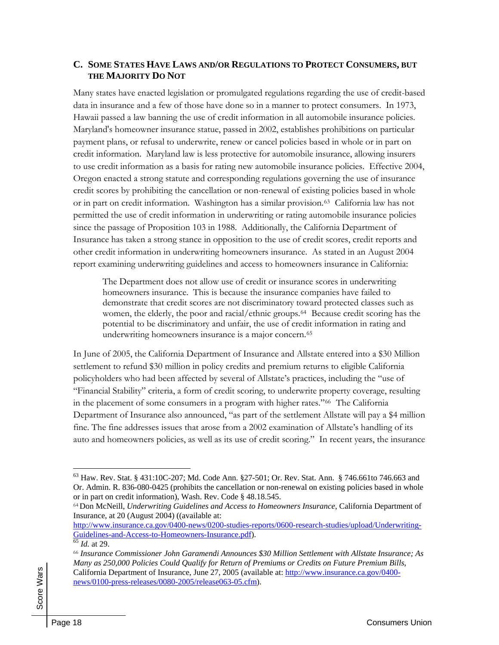#### **C. SOME STATES HAVE LAWS AND/OR REGULATIONS TO PROTECT CONSUMERS, BUT THE MAJORITY DO NOT**

Many states have enacted legislation or promulgated regulations regarding the use of credit-based data in insurance and a few of those have done so in a manner to protect consumers. In 1973, Hawaii passed a law banning the use of credit information in all automobile insurance policies. Maryland's homeowner insurance statue, passed in 2002, establishes prohibitions on particular payment plans, or refusal to underwrite, renew or cancel policies based in whole or in part on credit information. Maryland law is less protective for automobile insurance, allowing insurers to use credit information as a basis for rating new automobile insurance policies. Effective 2004, Oregon enacted a strong statute and corresponding regulations governing the use of insurance credit scores by prohibiting the cancellation or non-renewal of existing policies based in whole or in part on credit information. Washington has a similar provision.[63](#page-20-0) California law has not permitted the use of credit information in underwriting or rating automobile insurance policies since the passage of Proposition 103 in 1988. Additionally, the California Department of Insurance has taken a strong stance in opposition to the use of credit scores, credit reports and other credit information in underwriting homeowners insurance. As stated in an August 2004 report examining underwriting guidelines and access to homeowners insurance in California:

The Department does not allow use of credit or insurance scores in underwriting homeowners insurance. This is because the insurance companies have failed to demonstrate that credit scores are not discriminatory toward protected classes such as women, the elderly, the poor and racial/ethnic groups.[64](#page-20-1) Because credit scoring has the potential to be discriminatory and unfair, the use of credit information in rating and underwriting homeowners insurance is a major concern.[65](#page-20-2)

In June of 2005, the California Department of Insurance and Allstate entered into a \$30 Million settlement to refund \$30 million in policy credits and premium returns to eligible California policyholders who had been affected by several of Allstate's practices, including the "use of "Financial Stability" criteria, a form of credit scoring, to underwrite property coverage, resulting in the placement of some consumers in a program with higher rates."[66](#page-20-3) The California Department of Insurance also announced, "as part of the settlement Allstate will pay a \$4 million fine. The fine addresses issues that arose from a 2002 examination of Allstate's handling of its auto and homeowners policies, as well as its use of credit scoring." In recent years, the insurance

<span id="page-20-0"></span><sup>63</sup> Haw. Rev. Stat. § 431:10C-207; Md. Code Ann. §27-501; Or. Rev. Stat. Ann. § 746.661to 746.663 and Or. Admin. R. 836-080-0425 (prohibits the cancellation or non-renewal on existing policies based in whole or in part on credit information), Wash. Rev. Code § 48.18.545.

<span id="page-20-1"></span><sup>64</sup>Don McNeill, *Underwriting Guidelines and Access to Homeowners Insurance*, California Department of Insurance, at 20 (August 2004) ((available at:

[http://www.insurance.ca.gov/0400-news/0200-studies-reports/0600-research-studies/upload/Underwriting-](http://www.insurance.ca.gov/0400-news/0200-studies-reports/0600-research-studies/upload/Underwriting-Guidelines-and-Access-to-Homeowners-Insurance.pdf)[Guidelines-and-Access-to-Homeowners-Insurance.pdf\)](http://www.insurance.ca.gov/0400-news/0200-studies-reports/0600-research-studies/upload/Underwriting-Guidelines-and-Access-to-Homeowners-Insurance.pdf).<br><sup>[65](http://www.insurance.ca.gov/0400-news/0200-studies-reports/0600-research-studies/upload/Underwriting-Guidelines-and-Access-to-Homeowners-Insurance.pdf)</sup> *Id.* at 29.

<span id="page-20-2"></span>

<span id="page-20-3"></span><sup>66</sup> *Insurance Commissioner John Garamendi Announces \$30 Million Settlement with Allstate Insurance; As Many as 250,000 Policies Could Qualify for Return of Premiums or Credits on Future Premium Bills*, California Department of Insurance, June 27, 2005 (available at: [http://www.insurance.ca.gov/0400](http://www.insurance.ca.gov/0400-news/0100-press-releases/0080-2005/release063-05.cfm) [news/0100-press-releases/0080-2005/release063-05.cfm](http://www.insurance.ca.gov/0400-news/0100-press-releases/0080-2005/release063-05.cfm)).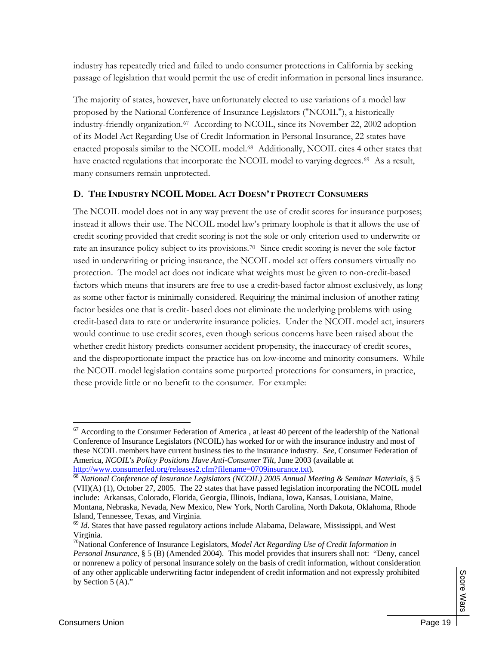industry has repeatedly tried and failed to undo consumer protections in California by seeking passage of legislation that would permit the use of credit information in personal lines insurance.

The majority of states, however, have unfortunately elected to use variations of a model law proposed by the National Conference of Insurance Legislators ("NCOIL"), a historically industry-friendly organization.[67](#page-21-0) According to NCOIL, since its November 22, 2002 adoption of its Model Act Regarding Use of Credit Information in Personal Insurance, 22 states have enacted proposals similar to the NCOIL model.[68](#page-21-1) Additionally, NCOIL cites 4 other states that have enacted regulations that incorporate the NCOIL model to varying degrees.<sup>[69](#page-21-2)</sup> As a result, many consumers remain unprotected.

#### **D. THE INDUSTRY NCOIL MODEL ACT DOESN'T PROTECT CONSUMERS**

The NCOIL model does not in any way prevent the use of credit scores for insurance purposes; instead it allows their use. The NCOIL model law's primary loophole is that it allows the use of credit scoring provided that credit scoring is not the sole or only criterion used to underwrite or rate an insurance policy subject to its provisions.[70](#page-21-3) Since credit scoring is never the sole factor used in underwriting or pricing insurance, the NCOIL model act offers consumers virtually no protection. The model act does not indicate what weights must be given to non-credit-based factors which means that insurers are free to use a credit-based factor almost exclusively, as long as some other factor is minimally considered. Requiring the minimal inclusion of another rating factor besides one that is credit- based does not eliminate the underlying problems with using credit-based data to rate or underwrite insurance policies. Under the NCOIL model act, insurers would continue to use credit scores, even though serious concerns have been raised about the whether credit history predicts consumer accident propensity, the inaccuracy of credit scores, and the disproportionate impact the practice has on low-income and minority consumers. While the NCOIL model legislation contains some purported protections for consumers, in practice, these provide little or no benefit to the consumer. For example:

<span id="page-21-0"></span> $67$  According to the Consumer Federation of America, at least 40 percent of the leadership of the National Conference of Insurance Legislators (NCOIL) has worked for or with the insurance industry and most of these NCOIL members have current business ties to the insurance industry. *See,* Consumer Federation of America, *NCOIL's Policy Positions Have Anti-Consumer Tilt,* June 2003 (available at

<span id="page-21-1"></span><http://www.consumerfed.org/releases2.cfm?filename=0709insurance.txt>). [68](http://www.consumerfed.org/releases2.cfm?filename=0709insurance.txt) *National Conference of Insurance Legislators (NCOIL) 2005 Annual Meeting & Seminar Materials*, § 5 (VII)(A) (1), October 27, 2005. The 22 states that have passed legislation incorporating the NCOIL model include: Arkansas, Colorado, Florida, Georgia, Illinois, Indiana, Iowa, Kansas, Louisiana, Maine, Montana, Nebraska, Nevada, New Mexico, New York, North Carolina, North Dakota, Oklahoma, Rhode Island, Tennessee, Texas, and Virginia.

<span id="page-21-2"></span><sup>&</sup>lt;sup>69</sup> *Id*. States that have passed regulatory actions include Alabama, Delaware, Mississippi, and West Virginia.

<span id="page-21-3"></span><sup>70</sup>National Conference of Insurance Legislators, *Model Act Regarding Use of Credit Information in Personal Insurance*, § 5 (B) (Amended 2004). This model provides that insurers shall not: "Deny, cancel or nonrenew a policy of personal insurance solely on the basis of credit information, without consideration of any other applicable underwriting factor independent of credit information and not expressly prohibited by Section 5 (A)."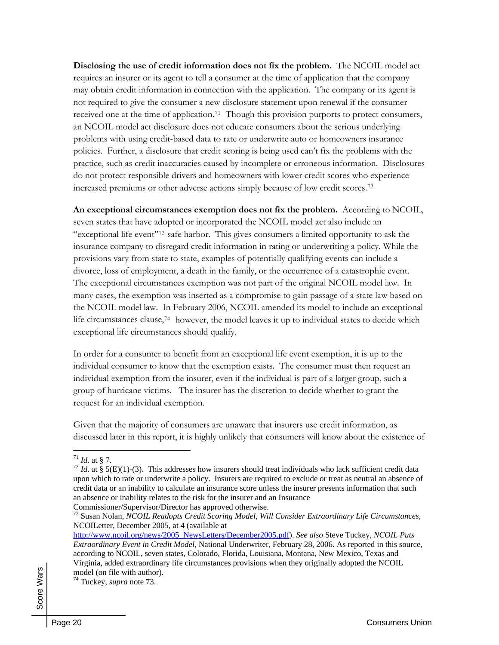**Disclosing the use of credit information does not fix the problem.** The NCOIL model act requires an insurer or its agent to tell a consumer at the time of application that the company may obtain credit information in connection with the application. The company or its agent is not required to give the consumer a new disclosure statement upon renewal if the consumer received one at the time of application.[71](#page-22-0) Though this provision purports to protect consumers, an NCOIL model act disclosure does not educate consumers about the serious underlying problems with using credit-based data to rate or underwrite auto or homeowners insurance policies. Further, a disclosure that credit scoring is being used can't fix the problems with the practice, such as credit inaccuracies caused by incomplete or erroneous information. Disclosures do not protect responsible drivers and homeowners with lower credit scores who experience increased premiums or other adverse actions simply because of low credit scores.[72](#page-22-1)

**An exceptional circumstances exemption does not fix the problem.** According to NCOIL, seven states that have adopted or incorporated the NCOIL model act also include an "exceptional life event"[73](#page-22-2) safe harbor. This gives consumers a limited opportunity to ask the insurance company to disregard credit information in rating or underwriting a policy. While the provisions vary from state to state, examples of potentially qualifying events can include a divorce, loss of employment, a death in the family, or the occurrence of a catastrophic event. The exceptional circumstances exemption was not part of the original NCOIL model law. In many cases, the exemption was inserted as a compromise to gain passage of a state law based on the NCOIL model law. In February 2006, NCOIL amended its model to include an exceptional life circumstances clause,<sup>[74](#page-22-3)</sup> however, the model leaves it up to individual states to decide which exceptional life circumstances should qualify.

In order for a consumer to benefit from an exceptional life event exemption, it is up to the individual consumer to know that the exemption exists. The consumer must then request an individual exemption from the insurer, even if the individual is part of a larger group, such a group of hurricane victims. The insurer has the discretion to decide whether to grant the request for an individual exemption.

Given that the majority of consumers are unaware that insurers use credit information, as discussed later in this report, it is highly unlikely that consumers will know about the existence of

<span id="page-22-1"></span><span id="page-22-0"></span><sup>&</sup>lt;sup>71</sup> *Id.* at § 7. *T*<sup>2</sup> *Id.* at § 5(E)(1)-(3). This addresses how insurers should treat individuals who lack sufficient credit data upon which to rate or underwrite a policy. Insurers are required to exclude or treat as neutral an absence of credit data or an inability to calculate an insurance score unless the insurer presents information that such an absence or inability relates to the risk for the insurer and an Insurance Commissioner/Supervisor/Director has approved otherwise.

<span id="page-22-2"></span><sup>73</sup> Susan Nolan, *NCOIL Readopts Credit Scoring Model, Will Consider Extraordinary Life Circumstances*, NCOILetter, December 2005, at 4 (available at

[http://www.ncoil.org/news/2005\\_NewsLetters/December2005.pdf](http://www.ncoil.org/news/2005_NewsLetters/December2005.pdf)). *See also* Steve Tuckey, *NCOIL Puts Extraordinary Event in Credit Model*, National Underwriter, February 28, 2006. As reported in this source, according to NCOIL, seven states, Colorado, Florida, Louisiana, Montana, New Mexico, Texas and Virginia, added extraordinary life circumstances provisions when they originally adopted the NCOIL model (on file with author).

<span id="page-22-3"></span><sup>74</sup> Tuckey, *supra* note 73.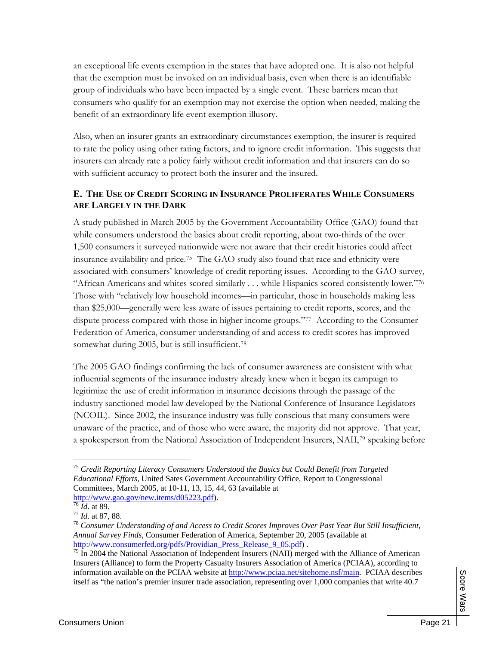an exceptional life events exemption in the states that have adopted one. It is also not helpful that the exemption must be invoked on an individual basis, even when there is an identifiable group of individuals who have been impacted by a single event. These barriers mean that consumers who qualify for an exemption may not exercise the option when needed, making the benefit of an extraordinary life event exemption illusory.

Also, when an insurer grants an extraordinary circumstances exemption, the insurer is required to rate the policy using other rating factors, and to ignore credit information. This suggests that insurers can already rate a policy fairly without credit information and that insurers can do so with sufficient accuracy to protect both the insurer and the insured.

#### **E. THE USE OF CREDIT SCORING IN INSURANCE PROLIFERATES WHILE CONSUMERS ARE LARGELY IN THE DARK**

A study published in March 2005 by the Government Accountability Office (GAO) found that while consumers understood the basics about credit reporting, about two-thirds of the over 1,500 consumers it surveyed nationwide were not aware that their credit histories could affect insurance availability and price.[75](#page-23-0) The GAO study also found that race and ethnicity were associated with consumers' knowledge of credit reporting issues. According to the GAO survey, "African Americans and whites scored similarly . . . while Hispanics scored consistently lower."[76](#page-23-1) Those with "relatively low household incomes—in particular, those in households making less than \$25,000—generally were less aware of issues pertaining to credit reports, scores, and the dispute process compared with those in higher income groups."[77](#page-23-2) According to the Consumer Federation of America, consumer understanding of and access to credit scores has improved somewhat during 2005, but is still insufficient.<sup>78</sup>

The 2005 GAO findings confirming the lack of consumer awareness are consistent with what influential segments of the insurance industry already knew when it began its campaign to legitimize the use of credit information in insurance decisions through the passage of the industry sanctioned model law developed by the National Conference of Insurance Legislators (NCOIL). Since 2002, the insurance industry was fully conscious that many consumers were unaware of the practice, and of those who were aware, the majority did not approve. That year, a spokesperson from the National Association of Independent Insurers, NAII,[79](#page-23-4) speaking before

<span id="page-23-0"></span><sup>75</sup> *Credit Reporting Literacy Consumers Understood the Basics but Could Benefit from Targeted Educational Efforts*, United Sates Government Accountability Office, Report to Congressional Committees, March 2005, at 10-11, 13, 15, 44, 63 (available at  $\frac{http://www.gao.gov/news.items/d05223.pdf}{http://www.gao.gov/news.items/d05223.pdf}.$ 

<span id="page-23-3"></span>

<span id="page-23-2"></span><span id="page-23-1"></span>heral field. at 89. **[76](http://www.gao.gov/new.items/d05223.pdf)** *Id.* **at 89.**<br><sup>77</sup> *Id.* at 87, 88. *78 Consumer Understanding of and Access to Credit Scores Improves Over Past Year But Still Insufficient, 78 Consumer Understanding of and Access to Credit Annual Survey Finds*, Consumer Federation of America, September 20, 2005 (available at [http://www.consumerfed.org/pdfs/Providian\\_Press\\_Release\\_9\\_05.pdf](http://www.consumerfed.org/pdfs/Providian_Press_Release_9_05.pdf)) .

<span id="page-23-4"></span> $\frac{100 \text{ Pa}}{79}$  In 2004 the National Association of Independent Insurers (NAII) merged with the Alliance of American Insurers (Alliance) to form the Property Casualty Insurers Association of America (PCIAA), according to information available on the PCIAA website at <http://www.pciaa.net/sitehome.nsf/main>. PCIAA describes itself as "the nation's premier insurer trade association, representing over 1,000 companies that write 40.7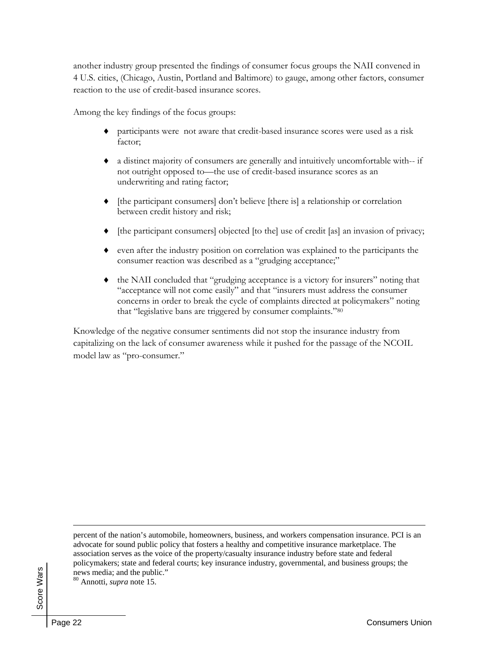another industry group presented the findings of consumer focus groups the NAII convened in 4 U.S. cities, (Chicago, Austin, Portland and Baltimore) to gauge, among other factors, consumer reaction to the use of credit-based insurance scores.

Among the key findings of the focus groups:

- participants were not aware that credit-based insurance scores were used as a risk factor;
- a distinct majority of consumers are generally and intuitively uncomfortable with-- if not outright opposed to—the use of credit-based insurance scores as an underwriting and rating factor;
- [the participant consumers] don't believe [there is] a relationship or correlation between credit history and risk;
- [the participant consumers] objected [to the] use of credit [as] an invasion of privacy;
- even after the industry position on correlation was explained to the participants the consumer reaction was described as a "grudging acceptance;"
- the NAII concluded that "grudging acceptance is a victory for insurers" noting that "acceptance will not come easily" and that "insurers must address the consumer concerns in order to break the cycle of complaints directed at policymakers" noting that "legislative bans are triggered by consumer complaints."[80](#page-24-0)

Knowledge of the negative consumer sentiments did not stop the insurance industry from capitalizing on the lack of consumer awareness while it pushed for the passage of the NCOIL model law as "pro-consumer."

percent of the nation's automobile, homeowners, business, and workers compensation insurance. PCI is an advocate for sound public policy that fosters a healthy and competitive insurance marketplace. The association serves as the voice of the property/casualty insurance industry before state and federal policymakers; state and federal courts; key insurance industry, governmental, and business groups; the news media; and the public."

<span id="page-24-0"></span>80 Annotti, *supra* note 15.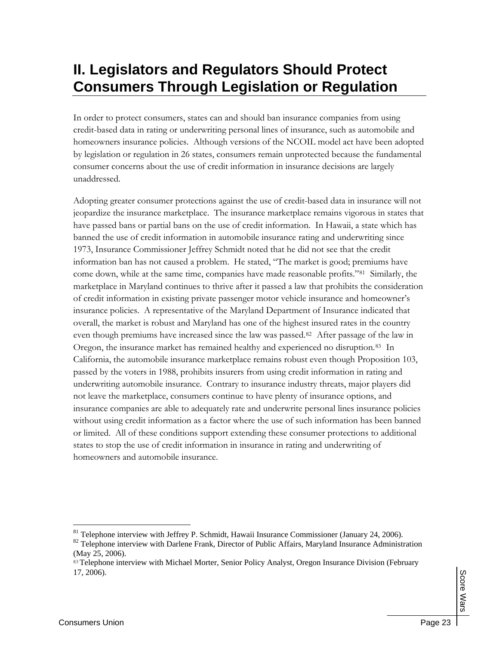# **II. Legislators and Regulators Should Protect Consumers Through Legislation or Regulation**

In order to protect consumers, states can and should ban insurance companies from using credit-based data in rating or underwriting personal lines of insurance, such as automobile and homeowners insurance policies. Although versions of the NCOIL model act have been adopted by legislation or regulation in 26 states, consumers remain unprotected because the fundamental consumer concerns about the use of credit information in insurance decisions are largely unaddressed.

Adopting greater consumer protections against the use of credit-based data in insurance will not jeopardize the insurance marketplace. The insurance marketplace remains vigorous in states that have passed bans or partial bans on the use of credit information. In Hawaii, a state which has banned the use of credit information in automobile insurance rating and underwriting since 1973, Insurance Commissioner Jeffrey Schmidt noted that he did not see that the credit information ban has not caused a problem. He stated, "The market is good; premiums have come down, while at the same time, companies have made reasonable profits."[81](#page-25-0) Similarly, the marketplace in Maryland continues to thrive after it passed a law that prohibits the consideration of credit information in existing private passenger motor vehicle insurance and homeowner's insurance policies. A representative of the Maryland Department of Insurance indicated that overall, the market is robust and Maryland has one of the highest insured rates in the country even though premiums have increased since the law was passed[.82](#page-25-1) After passage of the law in Oregon, the insurance market has remained healthy and experienced no disruption.[83](#page-25-2) In California, the automobile insurance marketplace remains robust even though Proposition 103, passed by the voters in 1988, prohibits insurers from using credit information in rating and underwriting automobile insurance. Contrary to insurance industry threats, major players did not leave the marketplace, consumers continue to have plenty of insurance options, and insurance companies are able to adequately rate and underwrite personal lines insurance policies without using credit information as a factor where the use of such information has been banned or limited. All of these conditions support extending these consumer protections to additional states to stop the use of credit information in insurance in rating and underwriting of homeowners and automobile insurance.

<span id="page-25-0"></span><sup>&</sup>lt;sup>81</sup> Telephone interview with Jeffrey P. Schmidt, Hawaii Insurance Commissioner (January 24, 2006).<br><sup>82</sup> Telephone interview with Darlene Frank, Director of Public Affairs, Maryland Insurance Administration

<span id="page-25-1"></span><sup>(</sup>May 25, 2006).

<span id="page-25-2"></span><sup>83</sup> Telephone interview with Michael Morter, Senior Policy Analyst, Oregon Insurance Division (February 17, 2006).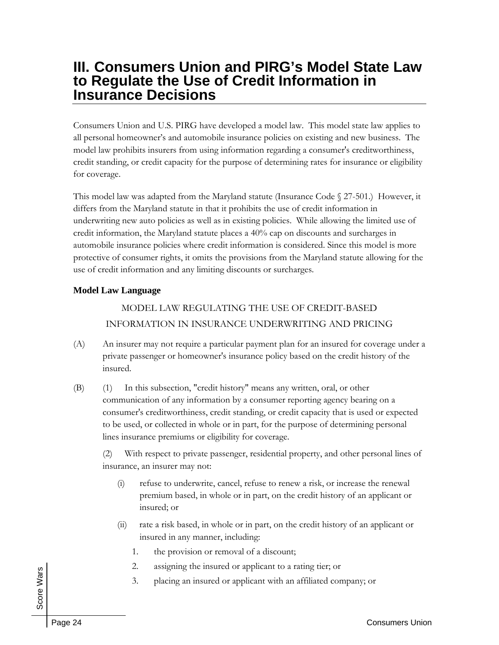## **III. Consumers Union and PIRG's Model State Law to Regulate the Use of Credit Information in Insurance Decisions**

Consumers Union and U.S. PIRG have developed a model law. This model state law applies to all personal homeowner's and automobile insurance policies on existing and new business. The model law prohibits insurers from using information regarding a consumer's creditworthiness, credit standing, or credit capacity for the purpose of determining rates for insurance or eligibility for coverage.

This model law was adapted from the Maryland statute (Insurance Code § 27-501.) However, it differs from the Maryland statute in that it prohibits the use of credit information in underwriting new auto policies as well as in existing policies. While allowing the limited use of credit information, the Maryland statute places a 40% cap on discounts and surcharges in automobile insurance policies where credit information is considered. Since this model is more protective of consumer rights, it omits the provisions from the Maryland statute allowing for the use of credit information and any limiting discounts or surcharges.

#### **Model Law Language**

### MODEL LAW REGULATING THE USE OF CREDIT-BASED INFORMATION IN INSURANCE UNDERWRITING AND PRICING

- (A) An insurer may not require a particular payment plan for an insured for coverage under a private passenger or homeowner's insurance policy based on the credit history of the insured.
- (B) (1) In this subsection, "credit history" means any written, oral, or other communication of any information by a consumer reporting agency bearing on a consumer's creditworthiness, credit standing, or credit capacity that is used or expected to be used, or collected in whole or in part, for the purpose of determining personal lines insurance premiums or eligibility for coverage.

(2) With respect to private passenger, residential property, and other personal lines of insurance, an insurer may not:

- (i) refuse to underwrite, cancel, refuse to renew a risk, or increase the renewal premium based, in whole or in part, on the credit history of an applicant or insured; or
- (ii) rate a risk based, in whole or in part, on the credit history of an applicant or insured in any manner, including:
	- 1. the provision or removal of a discount;
	- 2. assigning the insured or applicant to a rating tier; or
	- 3. placing an insured or applicant with an affiliated company; or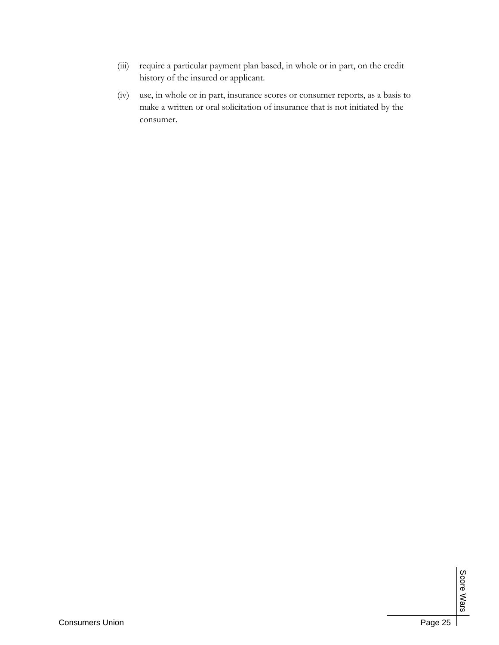- (iii) require a particular payment plan based, in whole or in part, on the credit history of the insured or applicant.
- (iv) use, in whole or in part, insurance scores or consumer reports, as a basis to make a written or oral solicitation of insurance that is not initiated by the consumer.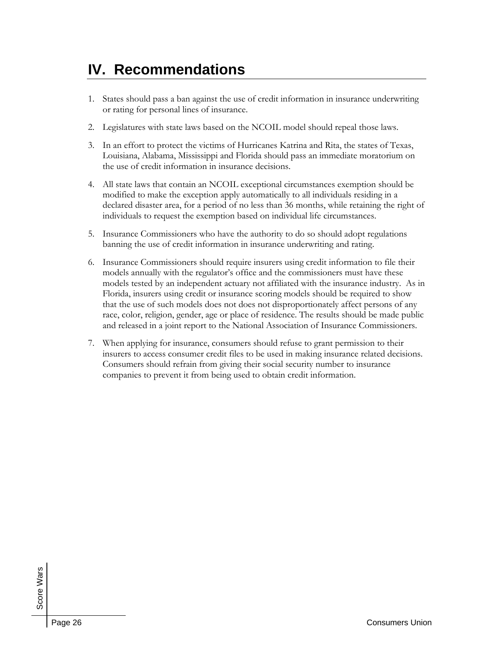# **IV. Recommendations**

- 1. States should pass a ban against the use of credit information in insurance underwriting or rating for personal lines of insurance.
- 2. Legislatures with state laws based on the NCOIL model should repeal those laws.
- 3. In an effort to protect the victims of Hurricanes Katrina and Rita, the states of Texas, Louisiana, Alabama, Mississippi and Florida should pass an immediate moratorium on the use of credit information in insurance decisions.
- 4. All state laws that contain an NCOIL exceptional circumstances exemption should be modified to make the exception apply automatically to all individuals residing in a declared disaster area, for a period of no less than 36 months, while retaining the right of individuals to request the exemption based on individual life circumstances.
- 5. Insurance Commissioners who have the authority to do so should adopt regulations banning the use of credit information in insurance underwriting and rating.
- 6. Insurance Commissioners should require insurers using credit information to file their models annually with the regulator's office and the commissioners must have these models tested by an independent actuary not affiliated with the insurance industry. As in Florida, insurers using credit or insurance scoring models should be required to show that the use of such models does not does not disproportionately affect persons of any race, color, religion, gender, age or place of residence. The results should be made public and released in a joint report to the National Association of Insurance Commissioners.
- 7. When applying for insurance, consumers should refuse to grant permission to their insurers to access consumer credit files to be used in making insurance related decisions. Consumers should refrain from giving their social security number to insurance companies to prevent it from being used to obtain credit information.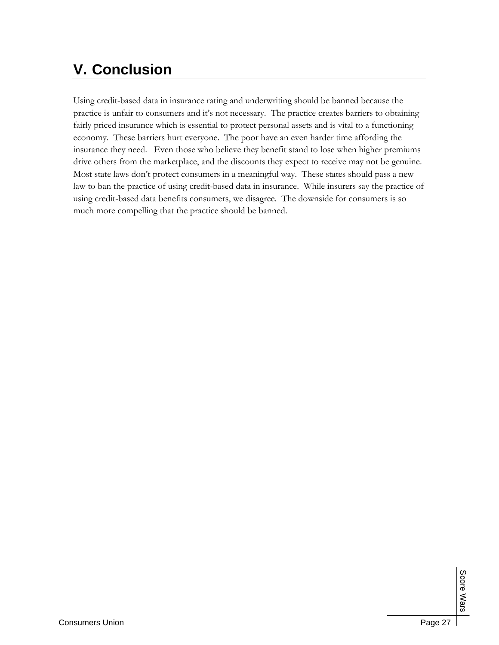# **V. Conclusion**

Using credit-based data in insurance rating and underwriting should be banned because the practice is unfair to consumers and it's not necessary. The practice creates barriers to obtaining fairly priced insurance which is essential to protect personal assets and is vital to a functioning economy. These barriers hurt everyone. The poor have an even harder time affording the insurance they need. Even those who believe they benefit stand to lose when higher premiums drive others from the marketplace, and the discounts they expect to receive may not be genuine. Most state laws don't protect consumers in a meaningful way. These states should pass a new law to ban the practice of using credit-based data in insurance. While insurers say the practice of using credit-based data benefits consumers, we disagree. The downside for consumers is so much more compelling that the practice should be banned.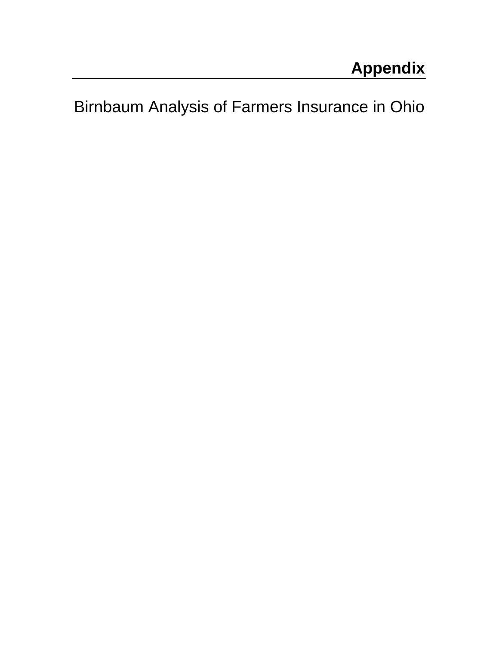Birnbaum Analysis of Farmers Insurance in Ohio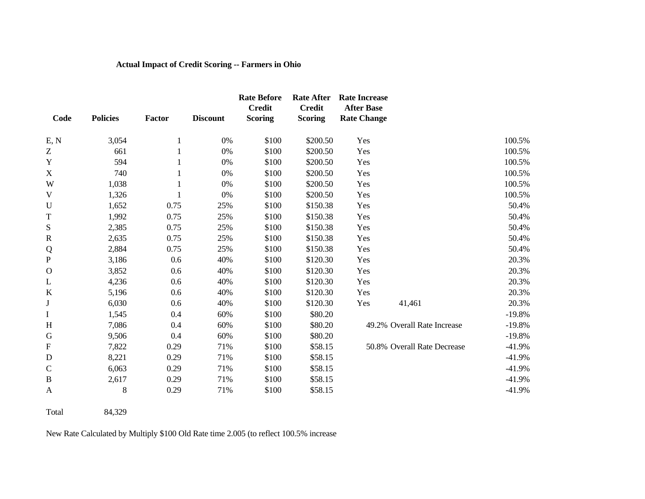#### **Actual Impact of Credit Scoring -- Farmers in Ohio**

|              |                 |              |                 | <b>Rate Before</b>              | <b>Rate After</b>               | <b>Rate Increase</b>                    |                             |          |
|--------------|-----------------|--------------|-----------------|---------------------------------|---------------------------------|-----------------------------------------|-----------------------------|----------|
| Code         | <b>Policies</b> | Factor       | <b>Discount</b> | <b>Credit</b><br><b>Scoring</b> | <b>Credit</b><br><b>Scoring</b> | <b>After Base</b><br><b>Rate Change</b> |                             |          |
|              |                 |              |                 |                                 |                                 |                                         |                             |          |
| E, N         | 3,054           | $\mathbf{1}$ | $0\%$           | \$100                           | \$200.50                        | Yes                                     |                             | 100.5%   |
| Z            | 661             |              | 0%              | \$100                           | \$200.50                        | Yes                                     |                             | 100.5%   |
| Y            | 594             |              | 0%              | \$100                           | \$200.50                        | Yes                                     |                             | 100.5%   |
| $\mathbf X$  | 740             | 1            | 0%              | \$100                           | \$200.50                        | Yes                                     |                             | 100.5%   |
| W            | 1,038           |              | $0\%$           | \$100                           | \$200.50                        | Yes                                     |                             | 100.5%   |
| $\mathbf V$  | 1,326           |              | 0%              | \$100                           | \$200.50                        | Yes                                     |                             | 100.5%   |
| $\mathbf U$  | 1,652           | 0.75         | 25%             | \$100                           | \$150.38                        | Yes                                     |                             | 50.4%    |
| $\mathbf T$  | 1,992           | 0.75         | 25%             | \$100                           | \$150.38                        | Yes                                     |                             | 50.4%    |
| ${\bf S}$    | 2,385           | 0.75         | 25%             | \$100                           | \$150.38                        | Yes                                     |                             | 50.4%    |
| ${\bf R}$    | 2,635           | 0.75         | 25%             | \$100                           | \$150.38                        | Yes                                     |                             | 50.4%    |
| Q            | 2,884           | 0.75         | 25%             | \$100                           | \$150.38                        | Yes                                     |                             | 50.4%    |
| ${\bf P}$    | 3,186           | 0.6          | 40%             | \$100                           | \$120.30                        | Yes                                     |                             | 20.3%    |
| $\mathbf O$  | 3,852           | 0.6          | 40%             | \$100                           | \$120.30                        | Yes                                     |                             | 20.3%    |
| L            | 4,236           | 0.6          | 40%             | \$100                           | \$120.30                        | Yes                                     |                             | 20.3%    |
| $\bf K$      | 5,196           | 0.6          | 40%             | \$100                           | \$120.30                        | Yes                                     |                             | 20.3%    |
| $\bf J$      | 6,030           | 0.6          | 40%             | \$100                           | \$120.30                        | Yes                                     | 41,461                      | 20.3%    |
| $\bf{I}$     | 1,545           | 0.4          | 60%             | \$100                           | \$80.20                         |                                         |                             | $-19.8%$ |
| H            | 7,086           | 0.4          | 60%             | \$100                           | \$80.20                         |                                         | 49.2% Overall Rate Increase | $-19.8%$ |
| ${\bf G}$    | 9,506           | 0.4          | 60%             | \$100                           | \$80.20                         |                                         |                             | $-19.8%$ |
| ${\bf F}$    | 7,822           | 0.29         | 71%             | \$100                           | \$58.15                         |                                         | 50.8% Overall Rate Decrease | $-41.9%$ |
| ${\bf D}$    | 8,221           | 0.29         | 71%             | \$100                           | \$58.15                         |                                         |                             | $-41.9%$ |
| $\mathsf{C}$ | 6,063           | 0.29         | 71%             | \$100                           | \$58.15                         |                                         |                             | $-41.9%$ |
| $\, {\bf B}$ | 2,617           | 0.29         | 71%             | \$100                           | \$58.15                         |                                         |                             | $-41.9%$ |
| $\mathbf{A}$ | $8\,$           | 0.29         | 71%             | \$100                           | \$58.15                         |                                         |                             | $-41.9%$ |

Total 84,329

New Rate Calculated by Multiply \$100 Old Rate time 2.005 (to reflect 100.5% increase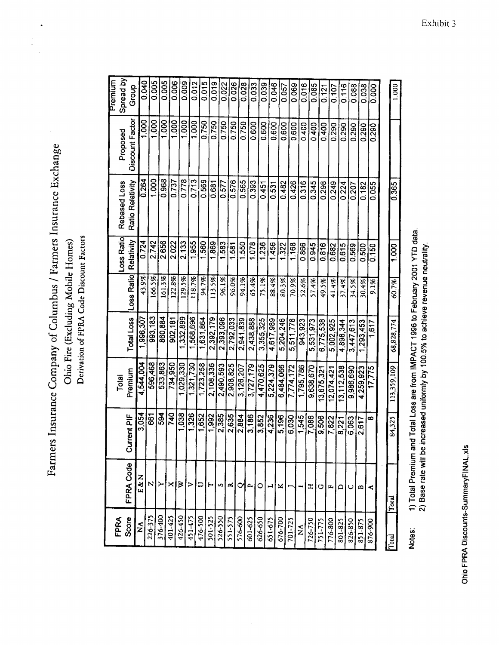$\bullet$ 

 $\ddot{\phantom{0}}$ 

| Premium | Spread by    | Group             | 0.040             | 0.005          | 0.005   | 0.006   | <b>800.0</b> | 0.012     | 0.015          | 0.019     | 0.022     | 0.026     | 0.028            | 0.033     | 0.039     | 0.046     | 0.057     | 0.069         | 0.016                | 0.085        | 0.121      | 0.107     | 0.116      | 0.088     | 0.038     | 8<br>0.00 | 1,000       |
|---------|--------------|-------------------|-------------------|----------------|---------|---------|--------------|-----------|----------------|-----------|-----------|-----------|------------------|-----------|-----------|-----------|-----------|---------------|----------------------|--------------|------------|-----------|------------|-----------|-----------|-----------|-------------|
|         | Proposed     | Discount Factor   | $\frac{000}{100}$ | $\frac{80}{1}$ | 1.000   | 1.000   | 1.000        | 1.000     | 0.750          | 0.750     | 0.750     | 0.750     | 0.750            | 0.600     | 0.600     | 0.600     | 0.600     | 0.600         | 0.400                | 0.400        | 0.400      | 0.290     | 0.290      | 0.290     | 0.290     | 0.290     |             |
|         | Rebased Loss | Ratio Relativity  | 0.264             | 1,000          | 0.968   | 0.737   | 0.778        | 0.713     | 0.569          | 0.681     | 0.577     | 0.576     | 0.565            | 0.393     | 0.451     | 0.531     | 0.482     | 0.426         | 0.316                | 0.345        | 0.298      | 0.249     | 0.224      | 0.207     | 0.182     | 0.055     | 0.365       |
|         | Loss Ratio   | Relativity        | 0.724             | 2.742          | 2.656   | 2.022   | 2.133        | 1.955     | 1.560          | 1.869     | 1.583     | 1.581     | 1.550            | 1.078     | 1.236     | 456       | 1.322     | 1.168         | 0.866                | 0.945        | 0.816      | 0.682     | 0.615      | 0.569     | 0.500     | 0.150     | 1.000       |
|         |              | Loss Ratio        | 43.9%             | 166.5%         | 161.3%  | 122.8%  | 129.5%       | 118.7%    | 94.7%          | 113.5%    | 96.1%     | 96.0%     | 94.1%            | 65.4%     | 75.1%     | 88.4%     | 80.3%     | 70.9%         | 52.6%                | 57.4%        | 49.5%      | 41.4%     | 37.4%      | 34.5%     | 30.4%     | 9.1%      | 60.7%       |
|         |              | <b>Total Loss</b> | ,996,307          | 993,183        | 860,884 | 902,181 | 332.899      | 568,696   | 631,864        | 2.392.179 | 2,393,096 | 2.792.033 | 2,941,839        | 2.438.888 | 3,355,325 | 4.617.989 | 5,204.246 | 511,778<br>ທົ | 943.923              | 531,973<br>ທ | 6.775.538  | 5,002,925 | 4,898,344  | 3.447.613 | 1,293,453 | 1.617     | 68,828,774  |
|         | Total        | Premium           | 4,544,004         | 596,468        | 533.863 | 734,950 | 1,029.330    | 1,321,730 | 1,723,258      | 2,108,336 | 2,490,593 | 2,908,825 | 3,126,207        | 3,727,179 | 4,470,625 | 5,224.379 | 6,484,066 | 7.774.172     | 1,795,786            | 9,638,670    | 13,675,321 | 2,074,421 | 13,112,538 | 9,986,690 | 4.259.923 | 17,775    | 113,359,109 |
|         |              | ent PIF<br>ā      | 3,054             | 667            | 39      | 740     | 1.038        | 1,326     | 1,652          | 1,992     | 2,385     | 2,635     | 2,884            | 3,186     | 3,852     | 4,236     | 5,196     | 6.030         | 1,545                | 7.086        | 9,506      | 7,822     | 8.221      | 6.063     | 2.617     | ∞         | 84,325      |
|         |              | FPRA Code         | E&N               | N              | ≻       | ×       | ⋗            | ⋗         | $\overline{a}$ | ⊢         | S         | α         | $\mathbf{\circ}$ | ۵.        | $\circ$   | ᅴ         | ×         |               |                      | ፗ            | ပ          | д,        | $\Omega$   | ပ         | m         | ≺         | Total       |
|         | FPRA         | Score             | ź                 | 226-375        | 376-400 | 401-425 | 426-450      | 451-475   | 476-500        | 501-525   | 526-550   | 551-575   | 576-600          | 601-625   | 626-650   | 651-675   | 676-700   | 701-725       | $\tilde{\mathsf{x}}$ | 726-750      | 751-775    | 776-800   | 801-825    | 826-850   | 851-875   | 876-900   | $T$ oral    |

1) Total Premium and Total Loss are from IMPACT 1996 to February 2001 YTD data.<br>2) Base rate will be increased uniformly by 100.5% to achieve revenue neutrality. Notes:

Ohio FPRA Discounts-SummaryFINAL.xls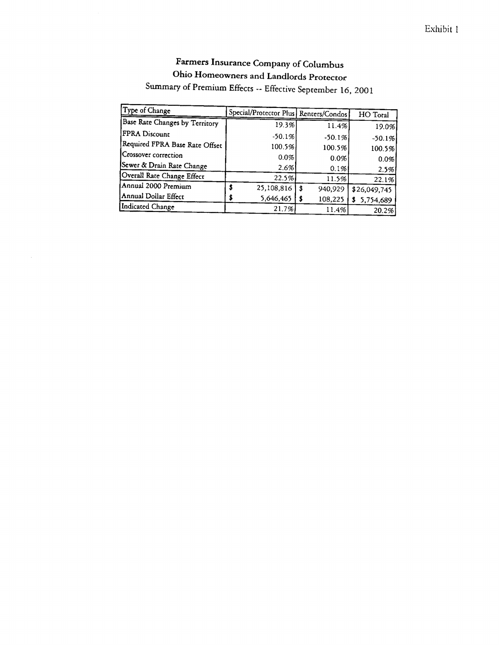#### Exhibit 1

### Farmers Insurance Company of Columbus Ohio Homeowners and Landlords Protector Summary of Premium Effects -- Effective September 16, 2001

| Type of Change                 |                                         |               |                 |
|--------------------------------|-----------------------------------------|---------------|-----------------|
|                                | Special/Protector Plus   Renters/Condos |               | HO Total        |
| Base Rate Changes by Territory | 19.3%                                   | 11.4%         | 19.0%           |
| FPRA Discount                  | $-50.1%$                                | $-50.1%$      | $-50.1%$        |
| Required FPRA Base Rate Offset | 100.5%                                  | 100.5%        | 100.5%          |
| Crossover correction           | 0.0%                                    | 0.0%          | 0.0%            |
| Sewer & Drain Rate Change      | 2.6%                                    | 0.1%          | 2.5%            |
| Overall Rate Change Effect     | 22.5%                                   | 11.5%         | 22.1%           |
| Annual 2000 Premium            | 25,108,816                              | \$<br>940,929 | \$26,049,745    |
| Annual Dollar Effect           | 5,646,465                               | 108,225       | \$<br>5,754,689 |
| Indicated Change               | 21.7%                                   | 11.4%         | 20.2%           |

 $\sim$